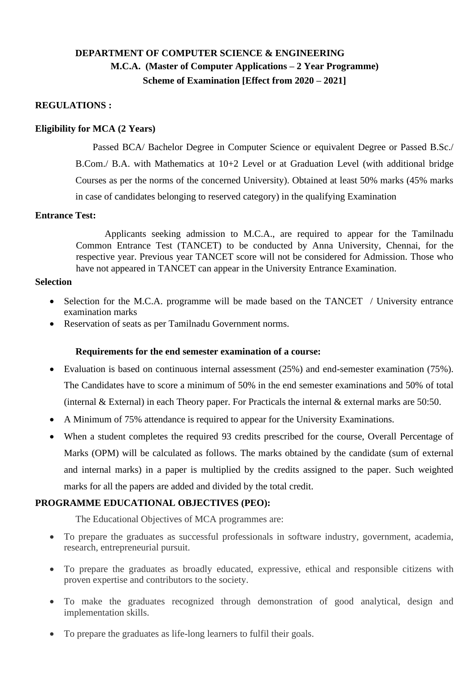# **DEPARTMENT OF COMPUTER SCIENCE & ENGINEERING M.C.A. (Master of Computer Applications – 2 Year Programme) Scheme of Examination [Effect from 2020 – 2021]**

#### **REGULATIONS :**

#### **Eligibility for MCA (2 Years)**

Passed BCA/ Bachelor Degree in Computer Science or equivalent Degree or Passed B.Sc./ B.Com./ B.A. with Mathematics at 10+2 Level or at Graduation Level (with additional bridge Courses as per the norms of the concerned University). Obtained at least 50% marks (45% marks in case of candidates belonging to reserved category) in the qualifying Examination

#### **Entrance Test:**

Applicants seeking admission to M.C.A., are required to appear for the Tamilnadu Common Entrance Test (TANCET) to be conducted by Anna University, Chennai, for the respective year. Previous year TANCET score will not be considered for Admission. Those who have not appeared in TANCET can appear in the University Entrance Examination.

#### **Selection**

- Selection for the M.C.A. programme will be made based on the TANCET / University entrance examination marks
- Reservation of seats as per Tamilnadu Government norms.

#### **Requirements for the end semester examination of a course:**

- Evaluation is based on continuous internal assessment (25%) and end-semester examination (75%). The Candidates have to score a minimum of 50% in the end semester examinations and 50% of total (internal & External) in each Theory paper. For Practicals the internal & external marks are 50:50.
- A Minimum of 75% attendance is required to appear for the University Examinations.
- When a student completes the required 93 credits prescribed for the course, Overall Percentage of Marks (OPM) will be calculated as follows. The marks obtained by the candidate (sum of external and internal marks) in a paper is multiplied by the credits assigned to the paper. Such weighted marks for all the papers are added and divided by the total credit.

#### **PROGRAMME EDUCATIONAL OBJECTIVES (PEO):**

The Educational Objectives of MCA programmes are:

- To prepare the graduates as successful professionals in software industry, government, academia, research, entrepreneurial pursuit.
- To prepare the graduates as broadly educated, expressive, ethical and responsible citizens with proven expertise and contributors to the society.
- To make the graduates recognized through demonstration of good analytical, design and implementation skills.
- To prepare the graduates as life-long learners to fulfil their goals.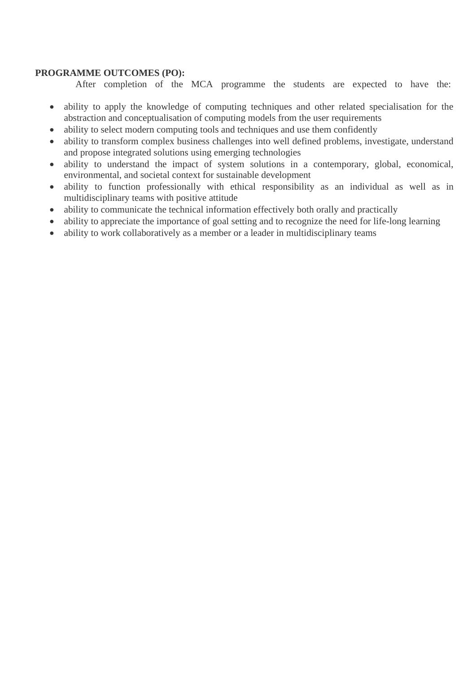#### **PROGRAMME OUTCOMES (PO):**

After completion of the MCA programme the students are expected to have the:

- ability to apply the knowledge of computing techniques and other related specialisation for the abstraction and conceptualisation of computing models from the user requirements
- ability to select modern computing tools and techniques and use them confidently
- ability to transform complex business challenges into well defined problems, investigate, understand and propose integrated solutions using emerging technologies
- ability to understand the impact of system solutions in a contemporary, global, economical, environmental, and societal context for sustainable development
- ability to function professionally with ethical responsibility as an individual as well as in multidisciplinary teams with positive attitude
- ability to communicate the technical information effectively both orally and practically
- ability to appreciate the importance of goal setting and to recognize the need for life-long learning
- ability to work collaboratively as a member or a leader in multidisciplinary teams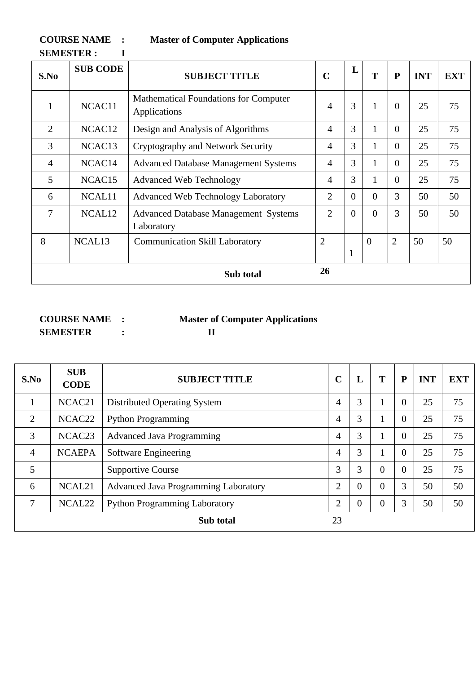**COURSE NAME : Master of Computer Applications** 

3 NCAC13 Cryptography and Network Security 4 3 1 0 25 75

4 | NCAC14 | Advanced Database Management Systems | 4 | 3 | 1 | 0 | 25 | 75

5 NCAC15 Advanced Web Technology 4 3 1 0 25 75

6 | NCAL11 | Advanced Web Technology Laboratory | 2 | 0 | 0 | 3 | 50 | 50

**Sub total 26**

 $2 | 0 | 0 | 3 | 50 | 50$ 

 $0 \t 2 \t 50 \t 50$ 

1

| <b>COURSE NAME</b> | <b>Master of Computer Applications</b> |
|--------------------|----------------------------------------|
| <b>SEMESTER</b>    |                                        |

7 NCAL12 Advanced Database Management Systems

8 | NCAL13 | Communication Skill Laboratory | 2

Laboratory

| S.No           | <b>SUB</b><br><b>CODE</b> | <b>SUBJECT TITLE</b>                 | $\mathbf C$    | L              | T        | P              | <b>INT</b> | <b>EXT</b> |
|----------------|---------------------------|--------------------------------------|----------------|----------------|----------|----------------|------------|------------|
| $\mathbf{1}$   | NCAC21                    | Distributed Operating System         | $\overline{4}$ | 3              | 1        | $\theta$       | 25         | 75         |
| $\overline{2}$ | NCAC <sub>22</sub>        | <b>Python Programming</b>            | $\overline{4}$ | 3              |          | $\overline{0}$ | 25         | 75         |
| 3              | NCAC <sub>23</sub>        | <b>Advanced Java Programming</b>     | 4              | 3              |          | $\Omega$       | 25         | 75         |
| $\overline{4}$ | <b>NCAEPA</b>             | Software Engineering                 | $\overline{4}$ | 3              | 1        | $\theta$       | 25         | 75         |
| 5              |                           | <b>Supportive Course</b>             | 3              | 3              | $\theta$ | $\theta$       | 25         | 75         |
| 6              | NCAL <sub>21</sub>        | Advanced Java Programming Laboratory | $\overline{2}$ | $\overline{0}$ | $\Omega$ | 3              | 50         | 50         |
| 7              | NCAL <sub>22</sub>        | <b>Python Programming Laboratory</b> | $\overline{2}$ | $\overline{0}$ | $\Omega$ | 3              | 50         | 50         |
|                |                           | Sub total                            | 23             |                |          |                |            |            |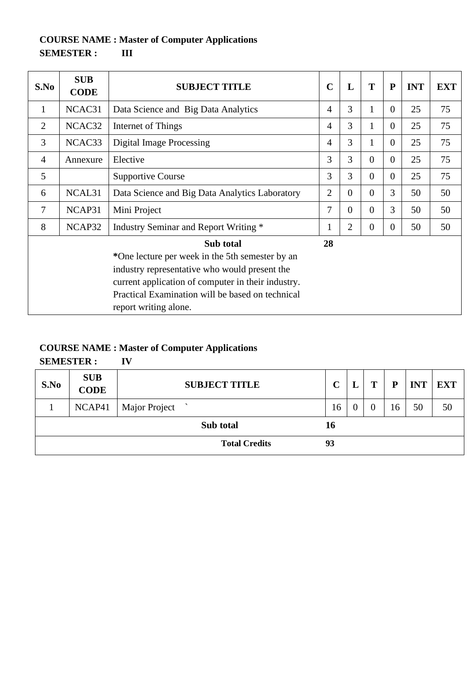# **COURSE NAME : Master of Computer Applications SEMESTER : III**

| S.No           | <b>SUB</b><br><b>CODE</b> | <b>SUBJECT TITLE</b>                                                                                                                                                                                                                             | $\mathbf C$    | L              | T              | ${\bf P}$      | <b>INT</b> | <b>EXT</b> |
|----------------|---------------------------|--------------------------------------------------------------------------------------------------------------------------------------------------------------------------------------------------------------------------------------------------|----------------|----------------|----------------|----------------|------------|------------|
| $\mathbf{1}$   | NCAC31                    | Data Science and Big Data Analytics                                                                                                                                                                                                              | 4              | 3              | 1              | $\Omega$       | 25         | 75         |
| $\overline{2}$ | NCAC32                    | Internet of Things                                                                                                                                                                                                                               | 4              | 3              | 1              | $\Omega$       | 25         | 75         |
| 3              | NCAC33                    | <b>Digital Image Processing</b>                                                                                                                                                                                                                  | 4              | 3              | 1              | $\overline{0}$ | 25         | 75         |
| $\overline{4}$ | Annexure                  | Elective                                                                                                                                                                                                                                         | 3              | 3              | $\Omega$       | $\Omega$       | 25         | 75         |
| 5              |                           | <b>Supportive Course</b>                                                                                                                                                                                                                         | 3              | 3              | $\Omega$       | $\Omega$       | 25         | 75         |
| 6              | NCAL <sub>31</sub>        | Data Science and Big Data Analytics Laboratory                                                                                                                                                                                                   | $\overline{2}$ | $\Omega$       | $\Omega$       | 3              | 50         | 50         |
| 7              | NCAP31                    | Mini Project                                                                                                                                                                                                                                     | 7              | $\Omega$       | $\Omega$       | 3              | 50         | 50         |
| 8              | NCAP32                    | Industry Seminar and Report Writing *                                                                                                                                                                                                            | 1              | $\overline{2}$ | $\overline{0}$ | $\Omega$       | 50         | 50         |
|                |                           | Sub total<br>*One lecture per week in the 5th semester by an<br>industry representative who would present the<br>current application of computer in their industry.<br>Practical Examination will be based on technical<br>report writing alone. | 28             |                |                |                |            |            |

# **COURSE NAME : Master of Computer Applications**

**SEMESTER : IV** 

| S.No | <b>SUB</b><br><b>CODE</b> | <b>SUBJECT TITLE</b> | $\mathbf C$ | m | P  | <b>INT</b> | <b>EXT</b> |
|------|---------------------------|----------------------|-------------|---|----|------------|------------|
|      | NCAP41                    | Major Project        | 16          |   | 16 | 50         | 50         |
|      |                           | Sub total            | 16          |   |    |            |            |
|      |                           | <b>Total Credits</b> | 93          |   |    |            |            |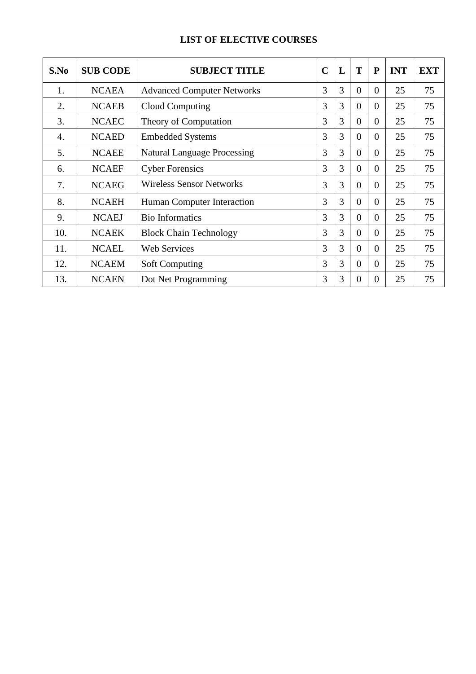# **LIST OF ELECTIVE COURSES**

| S.No             | <b>SUB CODE</b> | <b>SUBJECT TITLE</b>               | $\mathbf C$ | L              | T        | $\mathbf{P}$   | <b>INT</b> | <b>EXT</b> |
|------------------|-----------------|------------------------------------|-------------|----------------|----------|----------------|------------|------------|
| 1.               | <b>NCAEA</b>    | <b>Advanced Computer Networks</b>  | 3           | 3              | $\theta$ | $\theta$       | 25         | 75         |
| 2.               | <b>NCAEB</b>    | <b>Cloud Computing</b>             | 3           | 3              | $\Omega$ | $\Omega$       | 25         | 75         |
| 3.               | <b>NCAEC</b>    | Theory of Computation              | 3           | 3              | $\Omega$ | $\overline{0}$ | 25         | 75         |
| $\overline{4}$ . | <b>NCAED</b>    | <b>Embedded Systems</b>            | 3           | 3              | $\theta$ | $\overline{0}$ | 25         | 75         |
| 5.               | <b>NCAEE</b>    | <b>Natural Language Processing</b> | 3           | 3              | $\theta$ | $\overline{0}$ | 25         | 75         |
| 6.               | <b>NCAEF</b>    | <b>Cyber Forensics</b>             | 3           | 3              | $\theta$ | $\overline{0}$ | 25         | 75         |
| 7.               | <b>NCAEG</b>    | <b>Wireless Sensor Networks</b>    | 3           | 3              | $\theta$ | $\overline{0}$ | 25         | 75         |
| 8.               | <b>NCAEH</b>    | Human Computer Interaction         | 3           | 3              | $\theta$ | $\theta$       | 25         | 75         |
| 9.               | <b>NCAEJ</b>    | <b>Bio Informatics</b>             | 3           | $\overline{3}$ | $\Omega$ | $\Omega$       | 25         | 75         |
| 10.              | <b>NCAEK</b>    | <b>Block Chain Technology</b>      | 3           | 3              | $\Omega$ | $\Omega$       | 25         | 75         |
| 11.              | <b>NCAEL</b>    | <b>Web Services</b>                | 3           | 3              | $\theta$ | $\overline{0}$ | 25         | 75         |
| 12.              | <b>NCAEM</b>    | <b>Soft Computing</b>              | 3           | 3              | $\Omega$ | $\theta$       | 25         | 75         |
| 13.              | <b>NCAEN</b>    | Dot Net Programming                | 3           | 3              | $\Omega$ | $\Omega$       | 25         | 75         |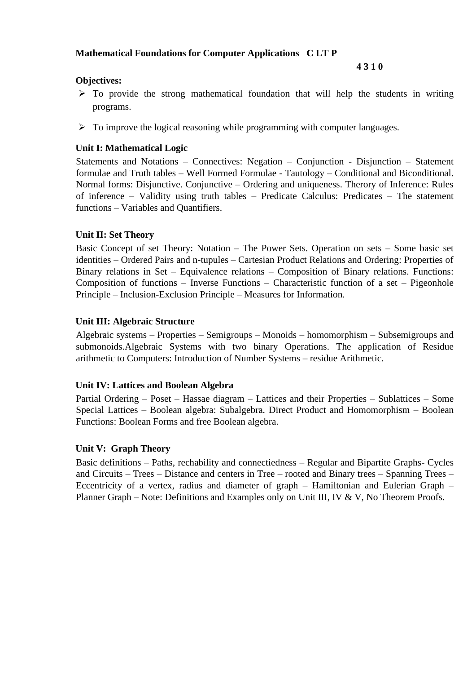### **Mathematical Foundations for Computer Applications C LT P**

#### **4 3 1 0**

## **Objectives:**

- $\triangleright$  To provide the strong mathematical foundation that will help the students in writing programs.
- $\triangleright$  To improve the logical reasoning while programming with computer languages.

# **Unit I: Mathematical Logic**

Statements and Notations – Connectives: Negation – Conjunction - Disjunction – Statement formulae and Truth tables – Well Formed Formulae - Tautology – Conditional and Biconditional. Normal forms: Disjunctive. Conjunctive – Ordering and uniqueness. Therory of Inference: Rules of inference – Validity using truth tables – Predicate Calculus: Predicates – The statement functions – Variables and Quantifiers.

# **Unit II: Set Theory**

Basic Concept of set Theory: Notation – The Power Sets. Operation on sets – Some basic set identities – Ordered Pairs and n-tupules – Cartesian Product Relations and Ordering: Properties of Binary relations in Set – Equivalence relations – Composition of Binary relations. Functions: Composition of functions – Inverse Functions – Characteristic function of a set – Pigeonhole Principle – Inclusion-Exclusion Principle – Measures for Information.

### **Unit III: Algebraic Structure**

Algebraic systems – Properties – Semigroups – Monoids – homomorphism – Subsemigroups and submonoids.Algebraic Systems with two binary Operations. The application of Residue arithmetic to Computers: Introduction of Number Systems – residue Arithmetic.

### **Unit IV: Lattices and Boolean Algebra**

Partial Ordering – Poset – Hassae diagram – Lattices and their Properties – Sublattices – Some Special Lattices – Boolean algebra: Subalgebra. Direct Product and Homomorphism – Boolean Functions: Boolean Forms and free Boolean algebra.

### **Unit V: Graph Theory**

Basic definitions – Paths, rechability and connectiedness – Regular and Bipartite Graphs- Cycles and Circuits – Trees – Distance and centers in Tree – rooted and Binary trees – Spanning Trees – Eccentricity of a vertex, radius and diameter of graph – Hamiltonian and Eulerian Graph – Planner Graph – Note: Definitions and Examples only on Unit III, IV & V, No Theorem Proofs.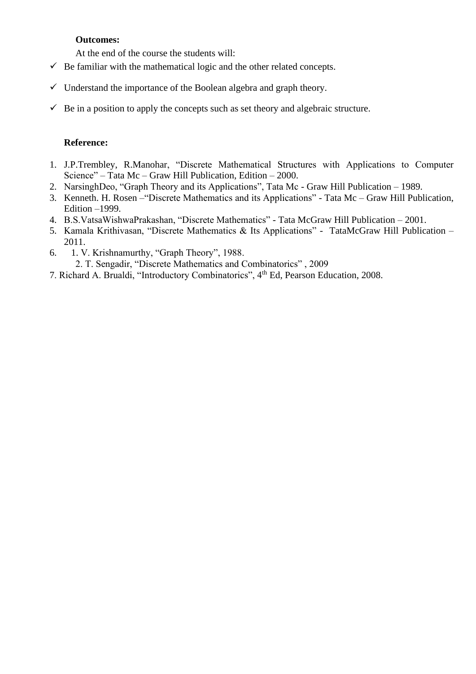#### **Outcomes:**

At the end of the course the students will:

- $\checkmark$  Be familiar with the mathematical logic and the other related concepts.
- $\checkmark$  Understand the importance of the Boolean algebra and graph theory.
- $\checkmark$  Be in a position to apply the concepts such as set theory and algebraic structure.

#### **Reference:**

- 1. J.P.Trembley, R.Manohar, "Discrete Mathematical Structures with Applications to Computer Science" – Tata Mc – Graw Hill Publication, Edition – 2000.
- 2. NarsinghDeo, "Graph Theory and its Applications", Tata Mc Graw Hill Publication 1989.
- 3. Kenneth. H. Rosen –"Discrete Mathematics and its Applications" Tata Mc Graw Hill Publication, Edition –1999.
- 4. B.S.VatsaWishwaPrakashan, "Discrete Mathematics" Tata McGraw Hill Publication 2001.
- 5. Kamala Krithivasan, "Discrete Mathematics & Its Applications" TataMcGraw Hill Publication 2011.
- 6. 1. V. Krishnamurthy, "Graph Theory", 1988. 2. T. Sengadir, "Discrete Mathematics and Combinatorics" , 2009
- 7. Richard A. Brualdi, "Introductory Combinatorics", 4th Ed, Pearson Education, 2008.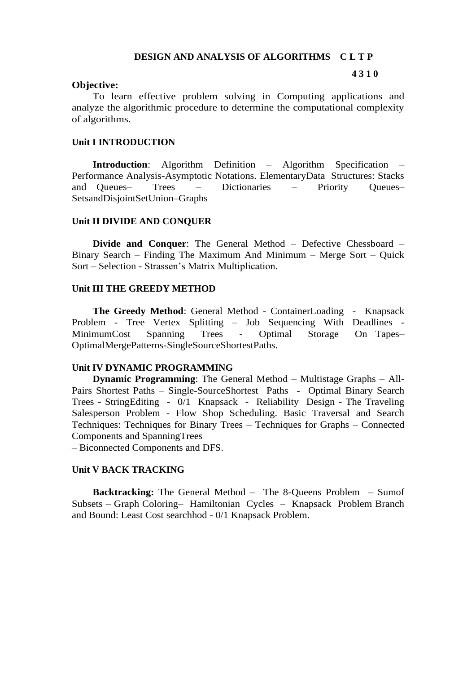#### **DESIGN AND ANALYSIS OF ALGORITHMS C L T P**

#### **4 3 1 0**

#### **Objective:**

To learn effective problem solving in Computing applications and analyze the algorithmic procedure to determine the computational complexity of algorithms.

#### **Unit I INTRODUCTION**

**Introduction**: Algorithm Definition – Algorithm Specification Performance Analysis-Asymptotic Notations. ElementaryData Structures: Stacks and Queues– Trees – Dictionaries – Priority Queues– SetsandDisjointSetUnion–Graphs

#### **Unit II DIVIDE AND CONQUER**

**Divide and Conquer**: The General Method – Defective Chessboard – Binary Search – Finding The Maximum And Minimum – Merge Sort – Quick Sort – Selection - Strassen's Matrix Multiplication.

#### **Unit III THE GREEDY METHOD**

**The Greedy Method**: General Method - ContainerLoading - Knapsack Problem - Tree Vertex Splitting – Job Sequencing With Deadlines - MinimumCost Spanning Trees - Optimal Storage On Tapes– OptimalMergePatterns-SingleSourceShortestPaths.

#### **Unit IV DYNAMIC PROGRAMMING**

**Dynamic Programming**: The General Method – Multistage Graphs – All-Pairs Shortest Paths – Single-SourceShortest Paths - Optimal Binary Search Trees - StringEditing - 0/1 Knapsack - Reliability Design - The Traveling Salesperson Problem - Flow Shop Scheduling. Basic Traversal and Search Techniques: Techniques for Binary Trees – Techniques for Graphs – Connected Components and SpanningTrees

– Biconnected Components and DFS.

#### **Unit V BACK TRACKING**

**Backtracking:** The General Method – The 8-Queens Problem – Sumof Subsets – Graph Coloring– Hamiltonian Cycles – Knapsack Problem Branch and Bound: Least Cost searchhod - 0/1 Knapsack Problem.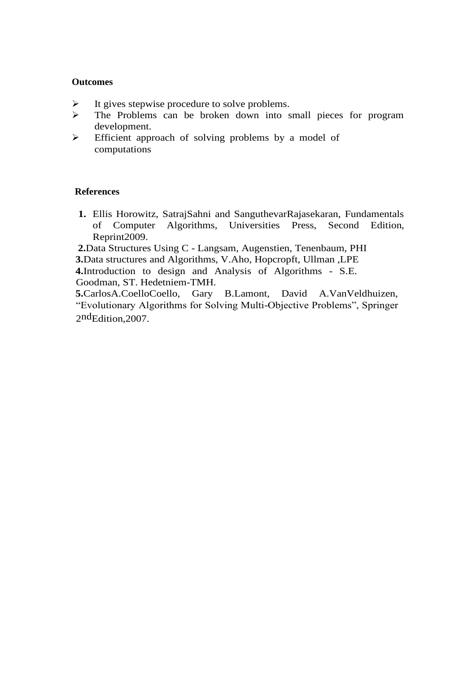#### **Outcomes**

- $\triangleright$  It gives stepwise procedure to solve problems.
- ➢ The Problems can be broken down into small pieces for program development.
- ➢ Efficient approach of solving problems by a model of computations

#### **References**

**1.** Ellis Horowitz, SatrajSahni and SanguthevarRajasekaran, Fundamentals of Computer Algorithms, Universities Press, Second Edition, Reprint2009.

**2.**Data Structures Using C - Langsam, Augenstien, Tenenbaum, PHI

**3.**Data structures and Algorithms, V.Aho, Hopcropft, Ullman ,LPE

**4.**Introduction to design and Analysis of Algorithms - S.E. Goodman, ST. Hedetniem-TMH.

**5.**CarlosA.CoelloCoello, Gary B.Lamont, David A.VanVeldhuizen, "Evolutionary Algorithms for Solving Multi-Objective Problems", Springer 2ndEdition,2007.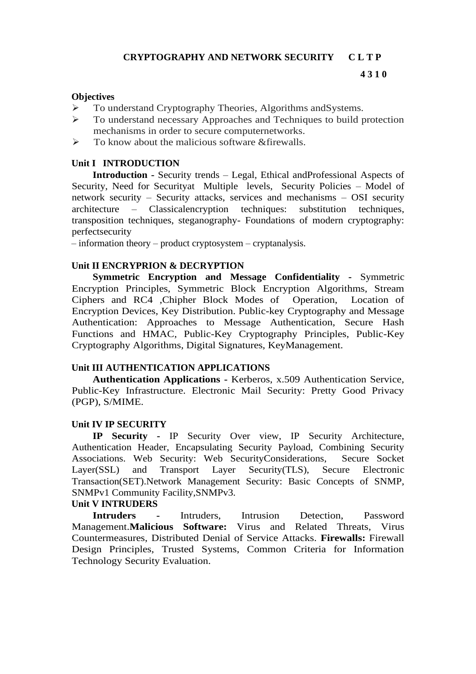#### **Objectives**

- ➢ To understand Cryptography Theories, Algorithms andSystems.
- ➢ To understand necessary Approaches and Techniques to build protection mechanisms in order to secure computernetworks.
- $\triangleright$  To know about the malicious software &firewalls.

#### **Unit I INTRODUCTION**

**Introduction -** Security trends – Legal, Ethical andProfessional Aspects of Security, Need for Securityat Multiple levels, Security Policies – Model of network security – Security attacks, services and mechanisms – OSI security architecture – Classicalencryption techniques: substitution techniques, transposition techniques, steganography- Foundations of modern cryptography: perfectsecurity

– information theory – product cryptosystem – cryptanalysis.

#### **Unit II ENCRYPRION & DECRYPTION**

**Symmetric Encryption and Message Confidentiality -** Symmetric Encryption Principles, Symmetric Block Encryption Algorithms, Stream Ciphers and RC4 ,Chipher Block Modes of Operation, Location of Encryption Devices, Key Distribution. Public-key Cryptography and Message Authentication: Approaches to Message Authentication, Secure Hash Functions and HMAC, Public-Key Cryptography Principles, Public-Key Cryptography Algorithms, Digital Signatures, KeyManagement.

#### **Unit III AUTHENTICATION APPLICATIONS**

**Authentication Applications -** Kerberos, x.509 Authentication Service, Public-Key Infrastructure. Electronic Mail Security: Pretty Good Privacy (PGP), S/MIME.

#### **Unit IV IP SECURITY**

**IP Security -** IP Security Over view, IP Security Architecture, Authentication Header, Encapsulating Security Payload, Combining Security Associations. Web Security: Web SecurityConsiderations, Secure Socket Layer(SSL) and Transport Layer Security(TLS), Secure Electronic Transaction(SET).Network Management Security: Basic Concepts of SNMP, SNMPv1 Community Facility,SNMPv3.

#### **Unit V INTRUDERS**

**Intruders -** Intruders, Intrusion Detection, Password Management.**Malicious Software:** Virus and Related Threats, Virus Countermeasures, Distributed Denial of Service Attacks. **Firewalls:** Firewall Design Principles, Trusted Systems, Common Criteria for Information Technology Security Evaluation.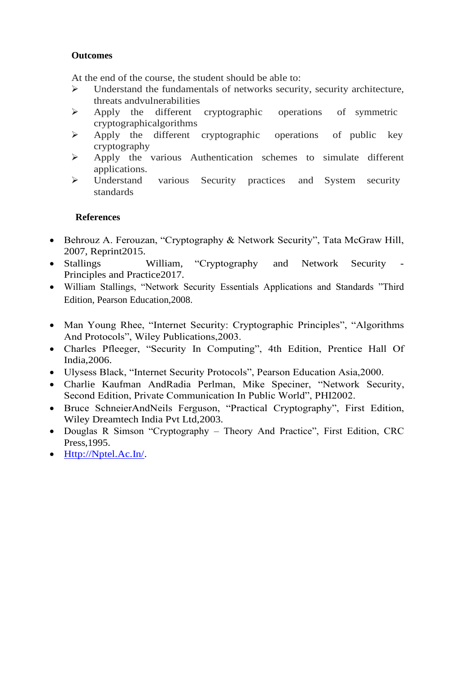# **Outcomes**

At the end of the course, the student should be able to:

- ➢ Understand the fundamentals of networks security, security architecture, threats andvulnerabilities
- ➢ Apply the different cryptographic operations of symmetric cryptographicalgorithms
- ➢ Apply the different cryptographic operations of public key cryptography
- ➢ Apply the various Authentication schemes to simulate different applications.
- ➢ Understand various Security practices and System security standards

# **References**

- Behrouz A. Ferouzan, "Cryptography & Network Security", Tata McGraw Hill, 2007, Reprint2015.
- Stallings William, "Cryptography and Network Security Principles and Practice2017.
- William Stallings, "Network Security Essentials Applications and Standards "Third Edition, Pearson Education,2008.
- Man Young Rhee, "Internet Security: Cryptographic Principles", "Algorithms And Protocols", Wiley Publications,2003.
- Charles Pfleeger, "Security In Computing", 4th Edition, Prentice Hall Of India,2006.
- Ulysess Black, "Internet Security Protocols", Pearson Education Asia,2000.
- Charlie Kaufman AndRadia Perlman, Mike Speciner, "Network Security, Second Edition, Private Communication In Public World", PHI2002.
- Bruce SchneierAndNeils Ferguson, "Practical Cryptography", First Edition, Wiley Dreamtech India Pvt Ltd,2003.
- Douglas R Simson "Cryptography Theory And Practice", First Edition, CRC Press,1995.
- [Http://Nptel.Ac.In/.](http://nptel.ac.in/)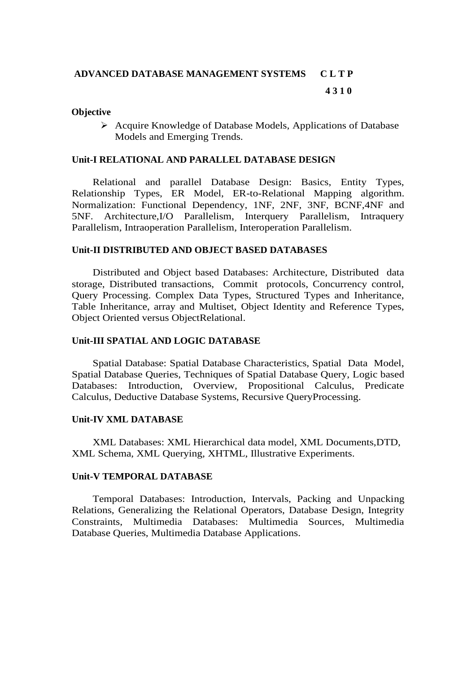# **ADVANCED DATABASE MANAGEMENT SYSTEMS C L T P**

#### **4 3 1 0**

#### **Objective**

➢ Acquire Knowledge of Database Models, Applications of Database Models and Emerging Trends.

#### **Unit-I RELATIONAL AND PARALLEL DATABASE DESIGN**

Relational and parallel Database Design: Basics, Entity Types, Relationship Types, ER Model, ER-to-Relational Mapping algorithm. Normalization: Functional Dependency, 1NF, 2NF, 3NF, BCNF,4NF and 5NF. Architecture,I/O Parallelism, Interquery Parallelism, Intraquery Parallelism, Intraoperation Parallelism, Interoperation Parallelism.

#### **Unit-II DISTRIBUTED AND OBJECT BASED DATABASES**

Distributed and Object based Databases: Architecture, Distributed data storage, Distributed transactions, Commit protocols, Concurrency control, Query Processing. Complex Data Types, Structured Types and Inheritance, Table Inheritance, array and Multiset, Object Identity and Reference Types, Object Oriented versus ObjectRelational.

#### **Unit-III SPATIAL AND LOGIC DATABASE**

Spatial Database: Spatial Database Characteristics, Spatial Data Model, Spatial Database Queries, Techniques of Spatial Database Query, Logic based Databases: Introduction, Overview, Propositional Calculus, Predicate Calculus, Deductive Database Systems, Recursive QueryProcessing.

#### **Unit-IV XML DATABASE**

XML Databases: XML Hierarchical data model, XML Documents,DTD, XML Schema, XML Querying, XHTML, Illustrative Experiments.

#### **Unit-V TEMPORAL DATABASE**

Temporal Databases: Introduction, Intervals, Packing and Unpacking Relations, Generalizing the Relational Operators, Database Design, Integrity Constraints, Multimedia Databases: Multimedia Sources, Multimedia Database Queries, Multimedia Database Applications.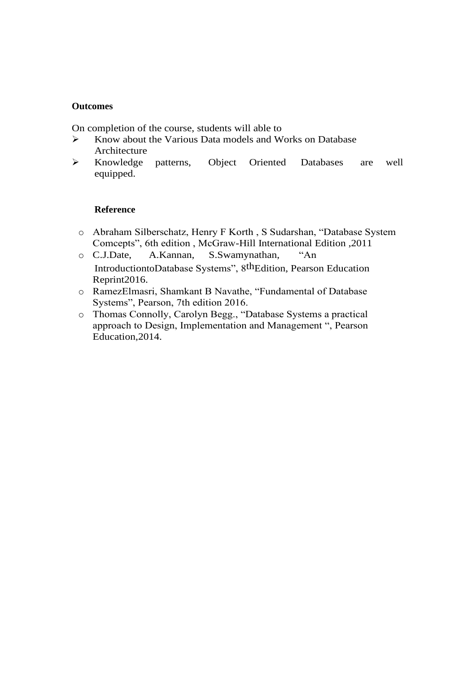#### **Outcomes**

On completion of the course, students will able to

- ➢ Know about the Various Data models and Works on Database Architecture
- ➢ Knowledge patterns, Object Oriented Databases are well equipped.

#### **Reference**

- o Abraham Silberschatz, Henry F Korth , S Sudarshan, "Database System Comcepts", 6th edition , McGraw-Hill International Edition ,2011
- o C.J.Date, A.Kannan, S.Swamynathan, "An IntroductiontoDatabase Systems", 8thEdition, Pearson Education Reprint2016.
- o RamezElmasri, Shamkant B Navathe, "Fundamental of Database Systems", Pearson, 7th edition 2016.
- o Thomas Connolly, Carolyn Begg., "Database Systems a practical approach to Design, Implementation and Management ", Pearson Education,2014.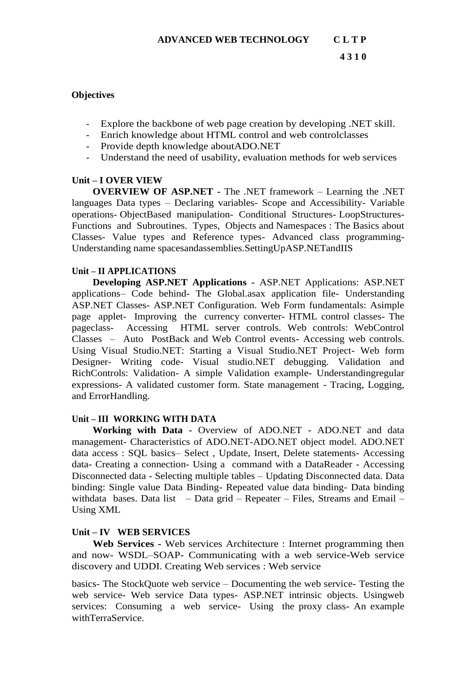#### **Objectives**

- Explore the backbone of web page creation by developing .NET skill.
- Enrich knowledge about HTML control and web controlclasses
- Provide depth knowledge aboutADO.NET
- Understand the need of usability, evaluation methods for web services

# **Unit – I OVER VIEW**

**OVERVIEW OF ASP.NET -** The .NET framework – Learning the .NET languages Data types – Declaring variables- Scope and Accessibility- Variable operations- ObjectBased manipulation- Conditional Structures- LoopStructures-Functions and Subroutines. Types, Objects and Namespaces : The Basics about Classes- Value types and Reference types- Advanced class programming-Understanding name spacesandassemblies.SettingUpASP.NETandIIS

### **Unit – II APPLICATIONS**

**Developing ASP.NET Applications -** ASP.NET Applications: ASP.NET applications– Code behind- The Global.asax application file- Understanding ASP.NET Classes- ASP.NET Configuration. Web Form fundamentals: Asimple page applet- Improving the currency converter- HTML control classes- The pageclass- Accessing HTML server controls. Web controls: WebControl Classes – Auto PostBack and Web Control events- Accessing web controls. Using Visual Studio.NET: Starting a Visual Studio.NET Project- Web form Designer- Writing code- Visual studio.NET debugging. Validation and RichControls: Validation- A simple Validation example- Understandingregular expressions- A validated customer form. State management - Tracing, Logging, and ErrorHandling.

# **Unit – III WORKING WITH DATA**

**Working with Data -** Overview of ADO.NET - ADO.NET and data management- Characteristics of ADO.NET-ADO.NET object model. ADO.NET data access : SQL basics– Select , Update, Insert, Delete statements- Accessing data- Creating a connection- Using a command with a DataReader - Accessing Disconnected data - Selecting multiple tables – Updating Disconnected data. Data binding: Single value Data Binding- Repeated value data binding- Data binding withdata bases. Data list – Data grid – Repeater – Files, Streams and Email – Using XML

# **Unit – IV WEB SERVICES**

**Web Services -** Web services Architecture : Internet programming then and now- WSDL–SOAP- Communicating with a web service-Web service discovery and UDDI. Creating Web services : Web service

basics- The StockQuote web service – Documenting the web service- Testing the web service- Web service Data types- ASP.NET intrinsic objects. Usingweb services: Consuming a web service- Using the proxy class- An example withTerraService.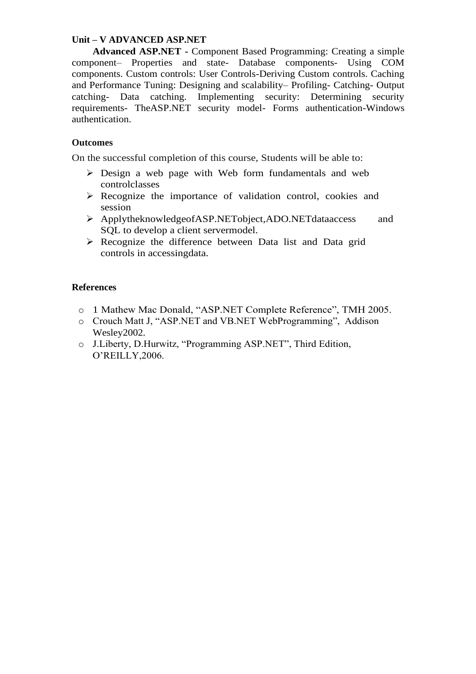#### **Unit – V ADVANCED ASP.NET**

**Advanced ASP.NET -** Component Based Programming: Creating a simple component– Properties and state- Database components- Using COM components. Custom controls: User Controls-Deriving Custom controls. Caching and Performance Tuning: Designing and scalability– Profiling- Catching- Output catching- Data catching. Implementing security: Determining security requirements- TheASP.NET security model- Forms authentication-Windows authentication.

#### **Outcomes**

On the successful completion of this course, Students will be able to:

- ➢ Design a web page with Web form fundamentals and web controlclasses
- ➢ Recognize the importance of validation control, cookies and session
- ➢ ApplytheknowledgeofASP.NETobject,ADO.NETdataaccess and SQL to develop a client servermodel.
- ➢ Recognize the difference between Data list and Data grid controls in accessingdata.

#### **References**

- o 1 Mathew Mac Donald, "ASP.NET Complete Reference", TMH 2005.
- o Crouch Matt J, "ASP.NET and VB.NET WebProgramming", Addison Wesley2002.
- o J.Liberty, D.Hurwitz, "Programming ASP.NET", Third Edition, O'REILLY,2006.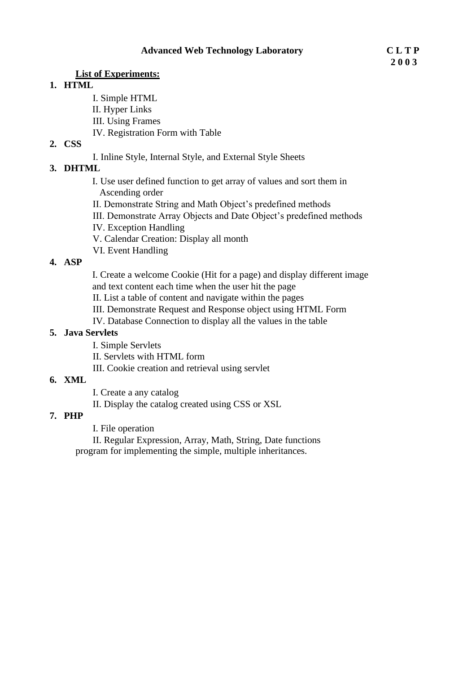#### **List of Experiments:**

#### **1. HTML**

- I. Simple HTML
- II. Hyper Links
- III. Using Frames
- IV. Registration Form with Table

### **2. CSS**

I. Inline Style, Internal Style, and External Style Sheets

# **3. DHTML**

- I. Use user defined function to get array of values and sort them in Ascending order
- II. Demonstrate String and Math Object's predefined methods
- III. Demonstrate Array Objects and Date Object's predefined methods
- IV. Exception Handling
- V. Calendar Creation: Display all month
- VI. Event Handling

# **4. ASP**

I. Create a welcome Cookie (Hit for a page) and display different image and text content each time when the user hit the page

II. List a table of content and navigate within the pages

- III. Demonstrate Request and Response object using HTML Form
- IV. Database Connection to display all the values in the table

### **5. Java Servlets**

- I. Simple Servlets
- II. Servlets with HTML form
- III. Cookie creation and retrieval using servlet

### **6. XML**

I. Create a any catalog

II. Display the catalog created using CSS or XSL

# **7. PHP**

I. File operation

II. Regular Expression, Array, Math, String, Date functions program for implementing the simple, multiple inheritances.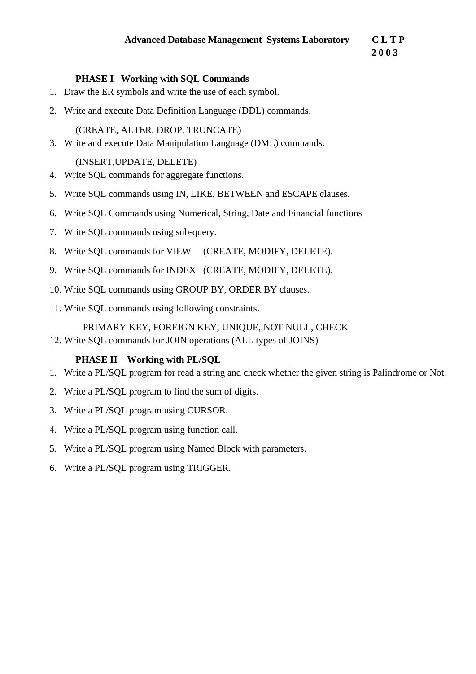**2 0 0 3**

## **PHASE I Working with SQL Commands**

- 1. Draw the ER symbols and write the use of each symbol.
- 2. Write and execute Data Definition Language (DDL) commands.

(CREATE, ALTER, DROP, TRUNCATE)

3. Write and execute Data Manipulation Language (DML) commands.

(INSERT,UPDATE, DELETE)

- 4. Write SQL commands for aggregate functions.
- 5. Write SQL commands using IN, LIKE, BETWEEN and ESCAPE clauses.
- 6. Write SQL Commands using Numerical, String, Date and Financial functions
- 7. Write SQL commands using sub-query.
- 8. Write SQL commands for VIEW (CREATE, MODIFY, DELETE).
- 9. Write SQL commands for INDEX (CREATE, MODIFY, DELETE).
- 10. Write SQL commands using GROUP BY, ORDER BY clauses.
- 11. Write SQL commands using following constraints.

# PRIMARY KEY, FOREIGN KEY, UNIQUE, NOT NULL, CHECK

12. Write SQL commands for JOIN operations (ALL types of JOINS)

# **PHASE II Working with PL/SQL**

- 1. Write a PL/SQL program for read a string and check whether the given string is Palindrome or Not.
- 2. Write a PL/SQL program to find the sum of digits.
- 3. Write a PL/SQL program using CURSOR.
- 4. Write a PL/SQL program using function call.
- 5. Write a PL/SQL program using Named Block with parameters.
- 6. Write a PL/SQL program using TRIGGER.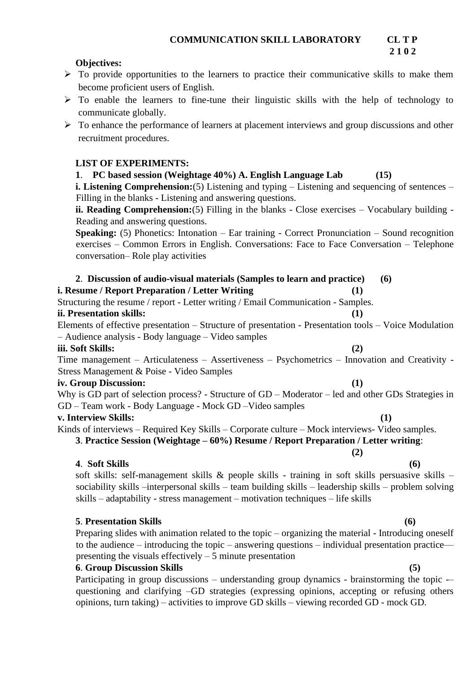#### **Objectives:**

- $\triangleright$  To provide opportunities to the learners to practice their communicative skills to make them become proficient users of English.
- ➢ To enable the learners to fine-tune their linguistic skills with the help of technology to communicate globally.
- $\triangleright$  To enhance the performance of learners at placement interviews and group discussions and other recruitment procedures.

#### **LIST OF EXPERIMENTS:**

**1**. **PC based session (Weightage 40%) A. English Language Lab (15)** 

**i. Listening Comprehension:**(5) Listening and typing – Listening and sequencing of sentences – Filling in the blanks - Listening and answering questions.

**ii. Reading Comprehension:**(5) Filling in the blanks - Close exercises – Vocabulary building - Reading and answering questions.

**Speaking:** (5) Phonetics: Intonation – Ear training - Correct Pronunciation – Sound recognition exercises – Common Errors in English. Conversations: Face to Face Conversation – Telephone conversation– Role play activities

# **2**. **Discussion of audio-visual materials (Samples to learn and practice) (6)**

#### **i. Resume / Report Preparation / Letter Writing (1)**

Structuring the resume / report - Letter writing / Email Communication - Samples.

#### **ii. Presentation skills: (1)**

Elements of effective presentation – Structure of presentation - Presentation tools – Voice Modulation – Audience analysis - Body language – Video samples

#### **iii. Soft Skills: (2)**

Time management – Articulateness – Assertiveness – Psychometrics – Innovation and Creativity - Stress Management & Poise - Video Samples

#### **iv. Group Discussion: (1)**

Why is GD part of selection process? - Structure of GD – Moderator – led and other GDs Strategies in GD – Team work - Body Language - Mock GD –Video samples

#### **v. Interview Skills: (1)**

Kinds of interviews – Required Key Skills – Corporate culture – Mock interviews- Video samples.

**3**. **Practice Session (Weightage – 60%) Resume / Report Preparation / Letter writing**:

#### **4**. **Soft Skills (6)**

soft skills: self-management skills & people skills - training in soft skills persuasive skills – sociability skills –interpersonal skills – team building skills – leadership skills – problem solving skills – adaptability - stress management – motivation techniques – life skills

### **5**. **Presentation Skills (6)**

Preparing slides with animation related to the topic – organizing the material - Introducing oneself to the audience – introducing the topic – answering questions – individual presentation practice–– presenting the visuals effectively – 5 minute presentation

#### **6**. **Group Discussion Skills (5)**

Participating in group discussions – understanding group dynamics - brainstorming the topic -– questioning and clarifying –GD strategies (expressing opinions, accepting or refusing others opinions, turn taking) – activities to improve GD skills – viewing recorded GD - mock GD.

**(2)** 

**2 1 0 2**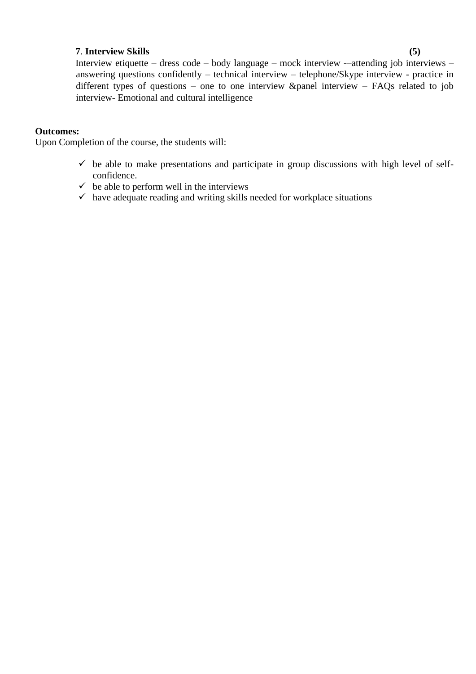#### **7**. **Interview Skills (5)**

Interview etiquette – dress code – body language – mock interview -–attending job interviews – answering questions confidently – technical interview – telephone/Skype interview - practice in different types of questions – one to one interview &panel interview – FAQs related to job interview- Emotional and cultural intelligence

#### **Outcomes:**

Upon Completion of the course, the students will:

- $\checkmark$  be able to make presentations and participate in group discussions with high level of selfconfidence.
- $\checkmark$  be able to perform well in the interviews
- $\checkmark$  have adequate reading and writing skills needed for workplace situations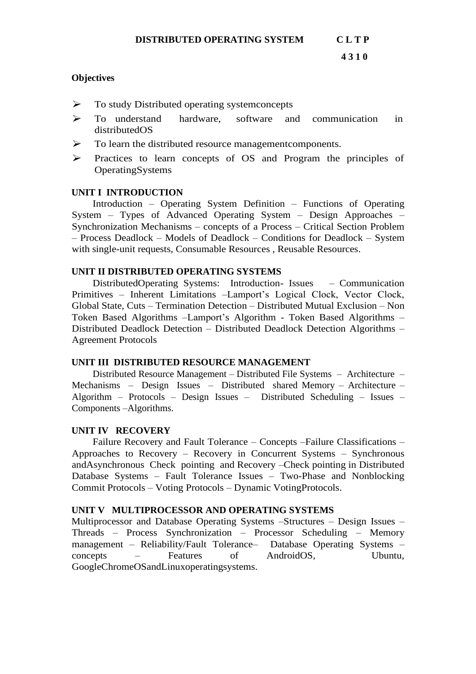#### **Objectives**

- ➢ To study Distributed operating systemconcepts
- ➢ To understand hardware, software and communication in distributedOS
- ➢ To learn the distributed resource managementcomponents.
- ➢ Practices to learn concepts of OS and Program the principles of OperatingSystems

#### **UNIT I INTRODUCTION**

Introduction – Operating System Definition – Functions of Operating System – Types of Advanced Operating System – Design Approaches – Synchronization Mechanisms – concepts of a Process – Critical Section Problem – Process Deadlock – Models of Deadlock – Conditions for Deadlock – System with single-unit requests, Consumable Resources , Reusable Resources.

#### **UNIT II DISTRIBUTED OPERATING SYSTEMS**

DistributedOperating Systems: Introduction- Issues – Communication Primitives – Inherent Limitations –Lamport's Logical Clock, Vector Clock, Global State, Cuts – Termination Detection – Distributed Mutual Exclusion – Non Token Based Algorithms –Lamport's Algorithm - Token Based Algorithms – Distributed Deadlock Detection – Distributed Deadlock Detection Algorithms – Agreement Protocols

### **UNIT III DISTRIBUTED RESOURCE MANAGEMENT**

Distributed Resource Management – Distributed File Systems – Architecture – Mechanisms – Design Issues – Distributed shared Memory – Architecture – Algorithm – Protocols – Design Issues – Distributed Scheduling – Issues – Components –Algorithms.

#### **UNIT IV RECOVERY**

Failure Recovery and Fault Tolerance – Concepts –Failure Classifications – Approaches to Recovery – Recovery in Concurrent Systems – Synchronous andAsynchronous Check pointing and Recovery –Check pointing in Distributed Database Systems – Fault Tolerance Issues – Two-Phase and Nonblocking Commit Protocols – Voting Protocols – Dynamic VotingProtocols.

### **UNIT V MULTIPROCESSOR AND OPERATING SYSTEMS**

Multiprocessor and Database Operating Systems –Structures – Design Issues – Threads – Process Synchronization – Processor Scheduling – Memory management – Reliability/Fault Tolerance– Database Operating Systems – concepts – Features of AndroidOS, Ubuntu, GoogleChromeOSandLinuxoperatingsystems.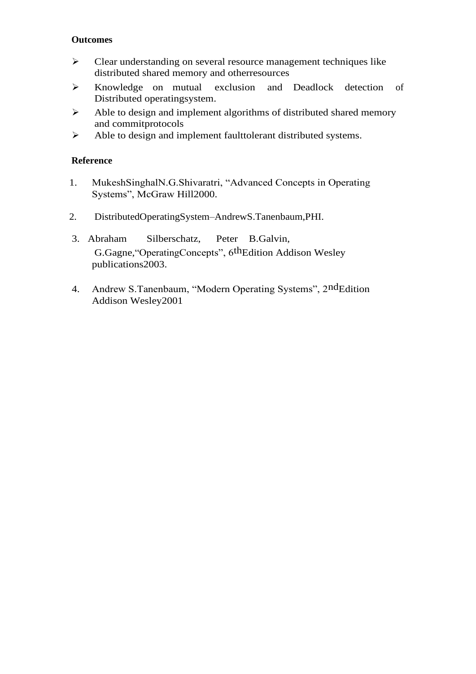#### **Outcomes**

- ➢ Clear understanding on several resource management techniques like distributed shared memory and otherresources
- ➢ Knowledge on mutual exclusion and Deadlock detection of Distributed operatingsystem.
- ➢ Able to design and implement algorithms of distributed shared memory and commitprotocols
- ➢ Able to design and implement faulttolerant distributed systems.

### **Reference**

- 1. MukeshSinghalN.G.Shivaratri, "Advanced Concepts in Operating Systems", McGraw Hill2000.
- 2. DistributedOperatingSystem–AndrewS.Tanenbaum,PHI.
- 3. Abraham Silberschatz, Peter B.Galvin, G.Gagne,"OperatingConcepts", 6thEdition Addison Wesley publications2003.
- 4. Andrew S.Tanenbaum, "Modern Operating Systems", 2ndEdition Addison Wesley2001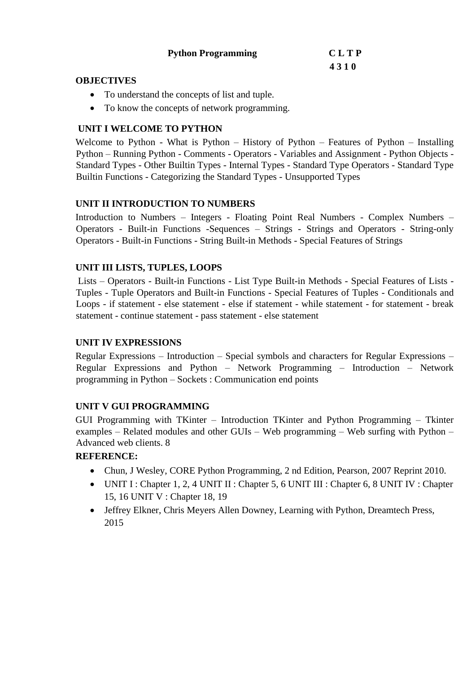| <b>Python Programming</b> | <b>CLTP</b> |
|---------------------------|-------------|
|---------------------------|-------------|

# **4 3 1 0**

#### **OBJECTIVES**

- To understand the concepts of list and tuple.
- To know the concepts of network programming.

# **UNIT I WELCOME TO PYTHON**

Welcome to Python - What is Python – History of Python – Features of Python – Installing Python – Running Python - Comments - Operators - Variables and Assignment - Python Objects - Standard Types - Other Builtin Types - Internal Types - Standard Type Operators - Standard Type Builtin Functions - Categorizing the Standard Types - Unsupported Types

# **UNIT II INTRODUCTION TO NUMBERS**

Introduction to Numbers – Integers - Floating Point Real Numbers - Complex Numbers – Operators - Built-in Functions -Sequences – Strings - Strings and Operators - String-only Operators - Built-in Functions - String Built-in Methods - Special Features of Strings

# **UNIT III LISTS, TUPLES, LOOPS**

Lists – Operators - Built-in Functions - List Type Built-in Methods - Special Features of Lists - Tuples - Tuple Operators and Built-in Functions - Special Features of Tuples - Conditionals and Loops - if statement - else statement - else if statement - while statement - for statement - break statement - continue statement - pass statement - else statement

# **UNIT IV EXPRESSIONS**

Regular Expressions – Introduction – Special symbols and characters for Regular Expressions – Regular Expressions and Python – Network Programming – Introduction – Network programming in Python – Sockets : Communication end points

# **UNIT V GUI PROGRAMMING**

GUI Programming with TKinter – Introduction TKinter and Python Programming – Tkinter examples – Related modules and other GUIs – Web programming – Web surfing with Python – Advanced web clients. 8

# **REFERENCE:**

- Chun, J Wesley, CORE Python Programming, 2 nd Edition, Pearson, 2007 Reprint 2010.
- UNIT I : Chapter 1, 2, 4 UNIT II : Chapter 5, 6 UNIT III : Chapter 6, 8 UNIT IV : Chapter 15, 16 UNIT V : Chapter 18, 19
- Jeffrey Elkner, Chris Meyers Allen Downey, Learning with Python, Dreamtech Press, 2015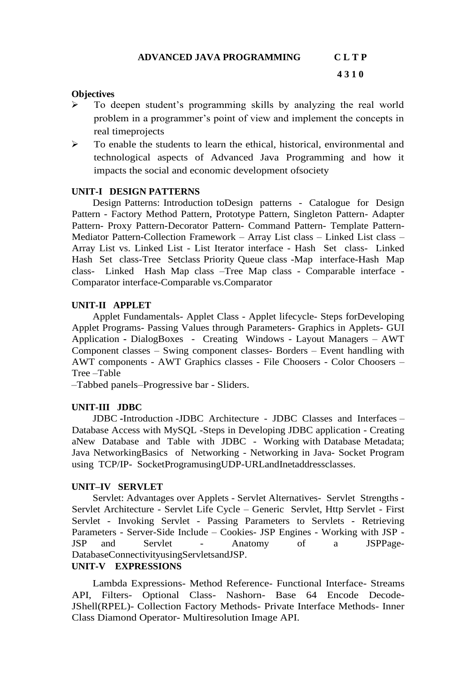#### **Objectives**

- ➢ To deepen student's programming skills by analyzing the real world problem in a programmer's point of view and implement the concepts in real timeprojects
- ➢ To enable the students to learn the ethical, historical, environmental and technological aspects of Advanced Java Programming and how it impacts the social and economic development ofsociety

#### **UNIT-I DESIGN PATTERNS**

Design Patterns: Introduction toDesign patterns - Catalogue for Design Pattern - Factory Method Pattern, Prototype Pattern, Singleton Pattern- Adapter Pattern- Proxy Pattern-Decorator Pattern- Command Pattern- Template Pattern-Mediator Pattern-Collection Framework – Array List class – Linked List class – Array List vs. Linked List - List Iterator interface - Hash Set class- Linked Hash Set class-Tree Setclass Priority Queue class -Map interface-Hash Map class- Linked Hash Map class –Tree Map class - Comparable interface - Comparator interface-Comparable vs.Comparator

#### **UNIT-II APPLET**

Applet Fundamentals- Applet Class - Applet lifecycle- Steps forDeveloping Applet Programs- Passing Values through Parameters- Graphics in Applets- GUI Application **-** DialogBoxes - Creating Windows - Layout Managers – AWT Component classes – Swing component classes- Borders – Event handling with AWT components - AWT Graphics classes - File Choosers - Color Choosers – Tree –Table

–Tabbed panels–Progressive bar - Sliders.

### **UNIT-III JDBC**

JDBC **-**Introduction -JDBC Architecture - JDBC Classes and Interfaces – Database Access with MySQL -Steps in Developing JDBC application - Creating aNew Database and Table with JDBC - Working with Database Metadata; Java NetworkingBasics of Networking - Networking in Java- Socket Program using TCP/IP- SocketProgramusingUDP-URLandInetaddressclasses.

#### **UNIT–IV SERVLET**

Servlet: Advantages over Applets - Servlet Alternatives- Servlet Strengths - Servlet Architecture - Servlet Life Cycle – Generic Servlet, Http Servlet - First Servlet - Invoking Servlet - Passing Parameters to Servlets - Retrieving Parameters - Server-Side Include – Cookies- JSP Engines - Working with JSP - JSP and Servlet - Anatomy of a JSPPage-DatabaseConnectivityusingServletsandJSP.

#### **UNIT-V EXPRESSIONS**

Lambda Expressions- Method Reference- Functional Interface- Streams API, Filters- Optional Class- Nashorn- Base 64 Encode Decode-JShell(RPEL)- Collection Factory Methods- Private Interface Methods- Inner Class Diamond Operator- Multiresolution Image API.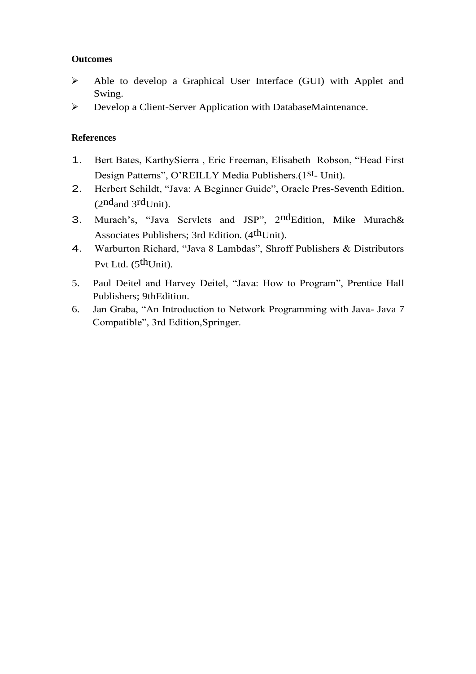# **Outcomes**

- ➢ Able to develop a Graphical User Interface (GUI) with Applet and Swing.
- ➢ Develop a Client-Server Application with DatabaseMaintenance.

# **References**

- 1. Bert Bates, KarthySierra , Eric Freeman, Elisabeth Robson, "Head First Design Patterns", O'REILLY Media Publishers.(1st<sub>- Unit)</sub>.
- 2. Herbert Schildt, "Java: A Beginner Guide", Oracle Pres-Seventh Edition.  $(2<sup>nd</sup> and 3<sup>rd</sup>Unit).$
- 3. Murach's, "Java Servlets and JSP", 2ndEdition, Mike Murach& Associates Publishers; 3rd Edition. (4<sup>th</sup>Unit).
- 4. Warburton Richard, "Java 8 Lambdas", Shroff Publishers & Distributors Pvt Ltd. (5<sup>th</sup>Unit).
- 5. Paul Deitel and Harvey Deitel, "Java: How to Program", Prentice Hall Publishers; 9thEdition.
- 6. Jan Graba, "An Introduction to Network Programming with Java- Java 7 Compatible", 3rd Edition,Springer.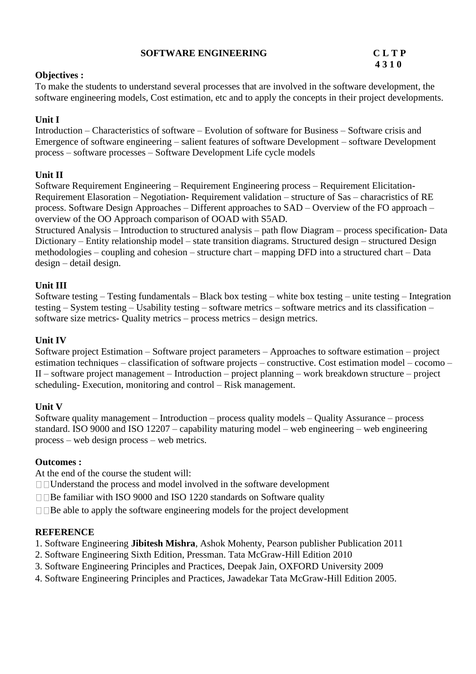#### **SOFTWARE ENGINEERING CLTP**

# **4 3 1 0**

#### **Objectives :**

To make the students to understand several processes that are involved in the software development, the software engineering models, Cost estimation, etc and to apply the concepts in their project developments.

# **Unit I**

Introduction – Characteristics of software – Evolution of software for Business – Software crisis and Emergence of software engineering – salient features of software Development – software Development process – software processes – Software Development Life cycle models

# **Unit II**

Software Requirement Engineering – Requirement Engineering process – Requirement Elicitation-Requirement Elasoration – Negotiation- Requirement validation – structure of Sas – characristics of RE process. Software Design Approaches – Different approaches to SAD – Overview of the FO approach – overview of the OO Approach comparison of OOAD with S5AD.

Structured Analysis – Introduction to structured analysis – path flow Diagram – process specification- Data Dictionary – Entity relationship model – state transition diagrams. Structured design – structured Design methodologies – coupling and cohesion – structure chart – mapping DFD into a structured chart – Data design – detail design.

# **Unit III**

Software testing – Testing fundamentals – Black box testing – white box testing – unite testing – Integration testing – System testing – Usability testing – software metrics – software metrics and its classification – software size metrics- Quality metrics – process metrics – design metrics.

### **Unit IV**

Software project Estimation – Software project parameters – Approaches to software estimation – project estimation techniques – classification of software projects – constructive. Cost estimation model – cocomo – II – software project management – Introduction – project planning – work breakdown structure – project scheduling- Execution, monitoring and control – Risk management.

### **Unit V**

Software quality management – Introduction – process quality models – Quality Assurance – process standard. ISO 9000 and ISO 12207 – capability maturing model – web engineering – web engineering process – web design process – web metrics.

### **Outcomes :**

At the end of the course the student will:

Understand the process and model involved in the software development

 $\Box$  Be familiar with ISO 9000 and ISO 1220 standards on Software quality

 $\Box$   $\Box$  Be able to apply the software engineering models for the project development

### **REFERENCE**

- 1. Software Engineering **Jibitesh Mishra**, Ashok Mohenty, Pearson publisher Publication 2011
- 2. Software Engineering Sixth Edition, Pressman. Tata McGraw-Hill Edition 2010
- 3. Software Engineering Principles and Practices, Deepak Jain, OXFORD University 2009
- 4. Software Engineering Principles and Practices, Jawadekar Tata McGraw-Hill Edition 2005.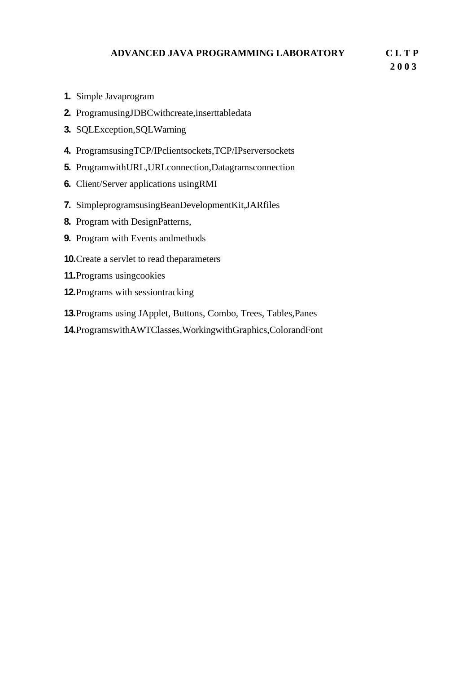# **ADVANCED JAVA PROGRAMMING LABORATORY C L T P**

 **2 0 0 3**

- **1.** Simple Javaprogram
- **2.** ProgramusingJDBCwithcreate,inserttabledata
- **3.** SQLException,SQLWarning
- **4.** ProgramsusingTCP/IPclientsockets,TCP/IPserversockets
- **5.** ProgramwithURL,URLconnection,Datagramsconnection
- **6.** Client/Server applications usingRMI
- **7.** SimpleprogramsusingBeanDevelopmentKit,JARfiles
- **8.** Program with DesignPatterns,
- **9.** Program with Events andmethods
- **10.**Create a servlet to read theparameters
- **11.**Programs usingcookies
- **12.**Programs with sessiontracking
- **13.**Programs using JApplet, Buttons, Combo, Trees, Tables,Panes
- **14.**ProgramswithAWTClasses,WorkingwithGraphics,ColorandFont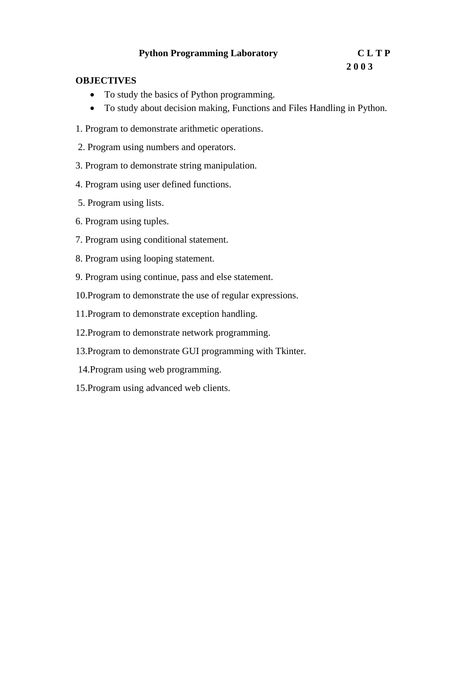# **Python Programming Laboratory C L T P**

# **2 0 0 3**

#### **OBJECTIVES**

- To study the basics of Python programming.
- To study about decision making, Functions and Files Handling in Python.
- 1. Program to demonstrate arithmetic operations.
- 2. Program using numbers and operators.
- 3. Program to demonstrate string manipulation.
- 4. Program using user defined functions.
- 5. Program using lists.
- 6. Program using tuples.
- 7. Program using conditional statement.
- 8. Program using looping statement.
- 9. Program using continue, pass and else statement.
- 10.Program to demonstrate the use of regular expressions.
- 11.Program to demonstrate exception handling.
- 12.Program to demonstrate network programming.
- 13.Program to demonstrate GUI programming with Tkinter.
- 14.Program using web programming.
- 15.Program using advanced web clients.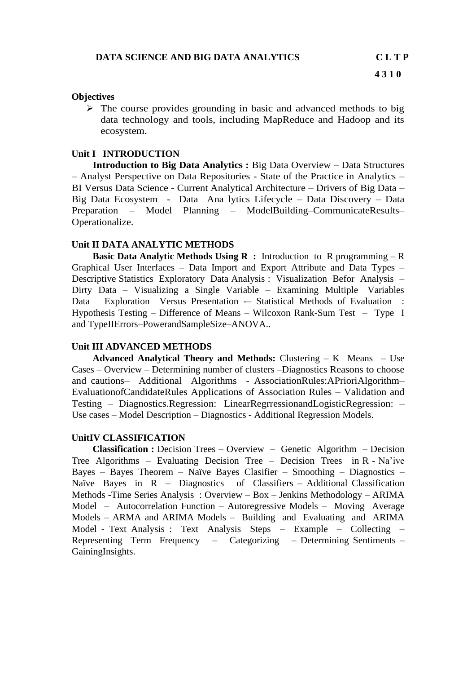#### **Objectives**

➢ The course provides grounding in basic and advanced methods to big data technology and tools, including MapReduce and Hadoop and its ecosystem.

#### **Unit I INTRODUCTION**

**Introduction to Big Data Analytics :** Big Data Overview – Data Structures – Analyst Perspective on Data Repositories - State of the Practice in Analytics – BI Versus Data Science - Current Analytical Architecture – Drivers of Big Data – Big Data Ecosystem - Data Ana lytics Lifecycle – Data Discovery – Data Preparation – Model Planning – ModelBuilding–CommunicateResults– Operationalize.

#### **Unit II DATA ANALYTIC METHODS**

**Basic Data Analytic Methods Using R :** Introduction to R programming – R Graphical User Interfaces – Data Import and Export Attribute and Data Types – Descriptive Statistics Exploratory Data Analysis : Visualization Befor Analysis – Dirty Data – Visualizing a Single Variable – Examining Multiple Variables Data Exploration Versus Presentation -- Statistical Methods of Evaluation : Hypothesis Testing – Difference of Means – Wilcoxon Rank-Sum Test – Type I and TypeIIErrors–PowerandSampleSize–ANOVA..

#### **Unit III ADVANCED METHODS**

**Advanced Analytical Theory and Methods:** Clustering – K Means – Use Cases – Overview – Determining number of clusters –Diagnostics Reasons to choose and cautions– Additional Algorithms - AssociationRules:APrioriAlgorithm– EvaluationofCandidateRules Applications of Association Rules – Validation and Testing – Diagnostics.Regression: LinearRegrressionandLogisticRegression: – Use cases – Model Description – Diagnostics - Additional Regression Models.

#### **UnitIV CLASSIFICATION**

**Classification :** Decision Trees – Overview – Genetic Algorithm – Decision Tree Algorithms – Evaluating Decision Tree – Decision Trees in R - Na'ive Bayes – Bayes Theorem – Naïve Bayes Clasifier – Smoothing – Diagnostics – Naïve Bayes in R – Diagnostics of Classifiers – Additional Classification Methods -Time Series Analysis : Overview – Box – Jenkins Methodology – ARIMA Model – Autocorrelation Function – Autoregressive Models – Moving Average Models – ARMA and ARIMA Models – Building and Evaluating and ARIMA Model - Text Analysis : Text Analysis Steps – Example – Collecting – Representing Term Frequency – Categorizing – Determining Sentiments – GainingInsights.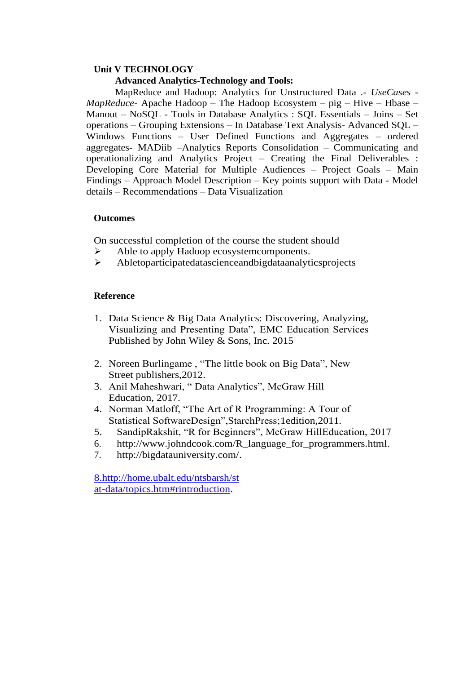### **Unit V TECHNOLOGY**

#### **Advanced Analytics-Technology and Tools:**

MapReduce and Hadoop: Analytics for Unstructured Data .- *UseCases - MapReduce*- Apache Hadoop – The Hadoop Ecosystem – pig – Hive – Hbase – Manout – NoSQL - Tools in Database Analytics : SQL Essentials – Joins – Set operations – Grouping Extensions – In Database Text Analysis- Advanced SQL – Windows Functions – User Defined Functions and Aggregates – ordered aggregates- MADiib –Analytics Reports Consolidation – Communicating and operationalizing and Analytics Project – Creating the Final Deliverables : Developing Core Material for Multiple Audiences – Project Goals – Main Findings – Approach Model Description – Key points support with Data - Model details – Recommendations – Data Visualization

#### **Outcomes**

On successful completion of the course the student should

- ➢ Able to apply Hadoop ecosystemcomponents.
- ➢ Abletoparticipatedatascienceandbigdataanalyticsprojects

#### **Reference**

- 1. Data Science & Big Data Analytics: Discovering, Analyzing, Visualizing and Presenting Data", EMC Education Services Published by John Wiley & Sons, Inc. 2015
- 2. Noreen Burlingame , "The little book on Big Data", New Street publishers,2012.
- 3. Anil Maheshwari, " Data Analytics", McGraw Hill Education, 2017.
- 4. Norman Matloff, "The Art of R Programming: A Tour of Statistical SoftwareDesign",StarchPress;1edition,2011.
- 5. SandipRakshit, "R for Beginners", McGraw HillEducation, 2017
- 6. [http://www.johndcook.com/R\\_language\\_for\\_programmers.html.](http://www.johndcook.com/R_language_for_programmers.html)
- 7. [http://bigdatauniversity.com/.](http://bigdatauniversity.com/)

8[.http://home.ubalt.edu/ntsbarsh/st](http://home.ubalt.edu/ntsbarsh/stat-) [at-](http://home.ubalt.edu/ntsbarsh/stat-)[data/topics.htm#rintroduction.](http://home.ubalt.edu/ntsbarsh/stat-data/topics.htm#rintroduction)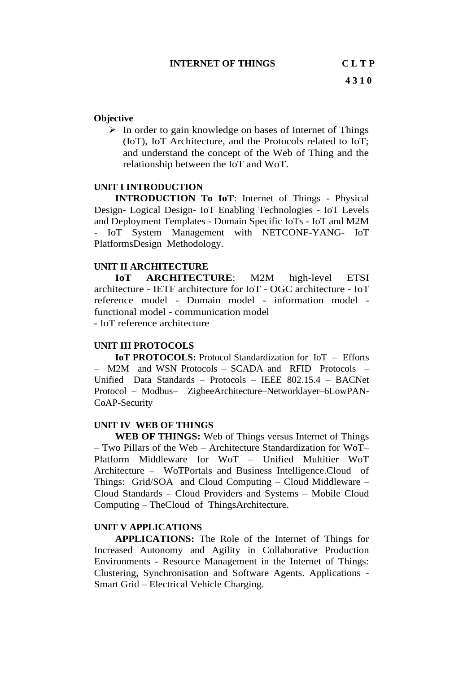#### **Objective**

➢ In order to gain knowledge on bases of Internet of Things (IoT), IoT Architecture, and the Protocols related to IoT; and understand the concept of the Web of Thing and the relationship between the IoT and WoT.

#### **UNIT I INTRODUCTION**

**INTRODUCTION To IoT**: Internet of Things - Physical Design- Logical Design- IoT Enabling Technologies - IoT Levels and Deployment Templates - Domain Specific IoTs - IoT and M2M - IoT System Management with NETCONF-YANG- IoT PlatformsDesign Methodology.

#### **UNIT II ARCHITECTURE**

**IoT ARCHITECTURE**: M2M high-level ETSI architecture - IETF architecture for IoT - OGC architecture - IoT reference model - Domain model - information model functional model - communication model - IoT reference architecture

### **UNIT III PROTOCOLS**

**IoT PROTOCOLS:** Protocol Standardization for IoT – Efforts – M2M and WSN Protocols – SCADA and RFID Protocols – Unified Data Standards – Protocols – IEEE 802.15.4 – BACNet Protocol – Modbus– ZigbeeArchitecture–Networklayer–6LowPAN-CoAP-Security

#### **UNIT IV WEB OF THINGS**

**WEB OF THINGS:** Web of Things versus Internet of Things – Two Pillars of the Web – Architecture Standardization for WoT– Platform Middleware for WoT – Unified Multitier WoT Architecture – WoTPortals and Business Intelligence.Cloud of Things: Grid/SOA and Cloud Computing – Cloud Middleware – Cloud Standards – Cloud Providers and Systems – Mobile Cloud Computing – TheCloud of ThingsArchitecture.

#### **UNIT V APPLICATIONS**

**APPLICATIONS:** The Role of the Internet of Things for Increased Autonomy and Agility in Collaborative Production Environments - Resource Management in the Internet of Things: Clustering, Synchronisation and Software Agents. Applications - Smart Grid – Electrical Vehicle Charging.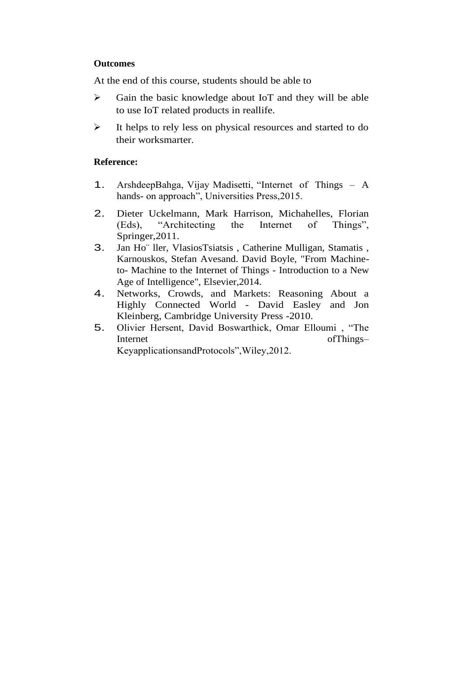#### **Outcomes**

At the end of this course, students should be able to

- ➢ Gain the basic knowledge about IoT and they will be able to use IoT related products in reallife.
- ➢ It helps to rely less on physical resources and started to do their worksmarter.

#### **Reference:**

- 1. ArshdeepBahga, Vijay Madisetti, "Internet of Things A hands- on approach", Universities Press,2015.
- 2. Dieter Uckelmann, Mark Harrison, Michahelles, Florian (Eds), "Architecting the Internet of Things", Springer,2011.
- 3. Jan Ho¨ ller, VlasiosTsiatsis , Catherine Mulligan, Stamatis , Karnouskos, Stefan Avesand. David Boyle, "From Machineto- Machine to the Internet of Things - Introduction to a New Age of Intelligence", Elsevier,2014.
- 4. Networks, Crowds, and Markets: Reasoning About a Highly Connected World - David Easley and Jon Kleinberg, Cambridge University Press -2010.
- 5. Olivier Hersent, David Boswarthick, Omar Elloumi , "The Internet of Things– KeyapplicationsandProtocols",Wiley,2012.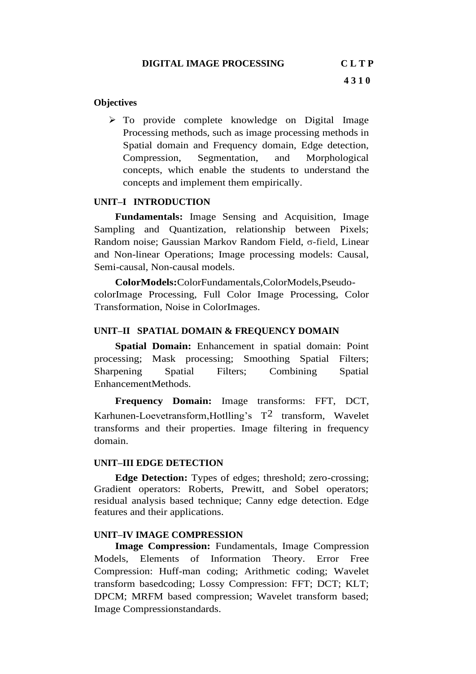#### **Objectives**

➢ To provide complete knowledge on Digital Image Processing methods, such as image processing methods in Spatial domain and Frequency domain, Edge detection, Compression, Segmentation, and Morphological concepts, which enable the students to understand the concepts and implement them empirically.

#### **UNIT–I INTRODUCTION**

**Fundamentals:** Image Sensing and Acquisition, Image Sampling and Quantization, relationship between Pixels; Random noise; Gaussian Markov Random Field, σ-field, Linear and Non-linear Operations; Image processing models: Causal, Semi-causal, Non-causal models.

**ColorModels:**ColorFundamentals,ColorModels,PseudocolorImage Processing, Full Color Image Processing, Color Transformation, Noise in ColorImages.

#### **UNIT–II SPATIAL DOMAIN & FREQUENCY DOMAIN**

**Spatial Domain:** Enhancement in spatial domain: Point processing; Mask processing; Smoothing Spatial Filters; Sharpening Spatial Filters; Combining Spatial EnhancementMethods.

**Frequency Domain:** Image transforms: FFT, DCT, Karhunen-Loevetransform, Hotlling's  $T^2$  transform, Wavelet transforms and their properties. Image filtering in frequency domain.

#### **UNIT–III EDGE DETECTION**

**Edge Detection:** Types of edges; threshold; zero-crossing; Gradient operators: Roberts, Prewitt, and Sobel operators; residual analysis based technique; Canny edge detection. Edge features and their applications.

#### **UNIT–IV IMAGE COMPRESSION**

**Image Compression:** Fundamentals, Image Compression Models, Elements of Information Theory. Error Free Compression: Huff-man coding; Arithmetic coding; Wavelet transform basedcoding; Lossy Compression: FFT; DCT; KLT; DPCM; MRFM based compression; Wavelet transform based; Image Compressionstandards.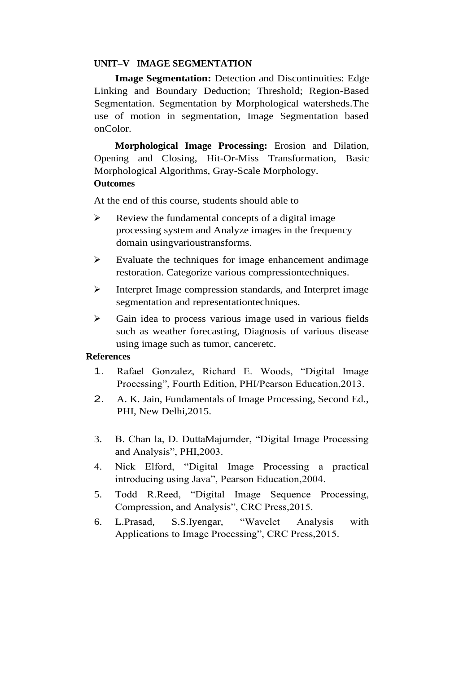#### **UNIT–V IMAGE SEGMENTATION**

**Image Segmentation:** Detection and Discontinuities: Edge Linking and Boundary Deduction; Threshold; Region-Based Segmentation. Segmentation by Morphological watersheds.The use of motion in segmentation, Image Segmentation based onColor.

**Morphological Image Processing:** Erosion and Dilation, Opening and Closing, Hit-Or-Miss Transformation, Basic Morphological Algorithms, Gray-Scale Morphology. **Outcomes**

At the end of this course, students should able to

- $\triangleright$  Review the fundamental concepts of a digital image processing system and Analyze images in the frequency domain usingvarioustransforms.
- ➢ Evaluate the techniques for image enhancement andimage restoration. Categorize various compressiontechniques.
- ➢ Interpret Image compression standards, and Interpret image segmentation and representationtechniques.
- ➢ Gain idea to process various image used in various fields such as weather forecasting, Diagnosis of various disease using image such as tumor, canceretc.

#### **References**

- 1. Rafael Gonzalez, Richard E. Woods, "Digital Image Processing", Fourth Edition, PHI/Pearson Education,2013.
- 2. A. K. Jain, Fundamentals of Image Processing, Second Ed., PHI, New Delhi,2015.
- 3. B. Chan la, D. DuttaMajumder, "Digital Image Processing and Analysis", PHI,2003.
- 4. Nick Elford, "Digital Image Processing a practical introducing using Java", Pearson Education,2004.
- 5. Todd R.Reed, "Digital Image Sequence Processing, Compression, and Analysis", CRC Press,2015.
- 6. L.Prasad, S.S.Iyengar, "Wavelet Analysis with Applications to Image Processing", CRC Press,2015.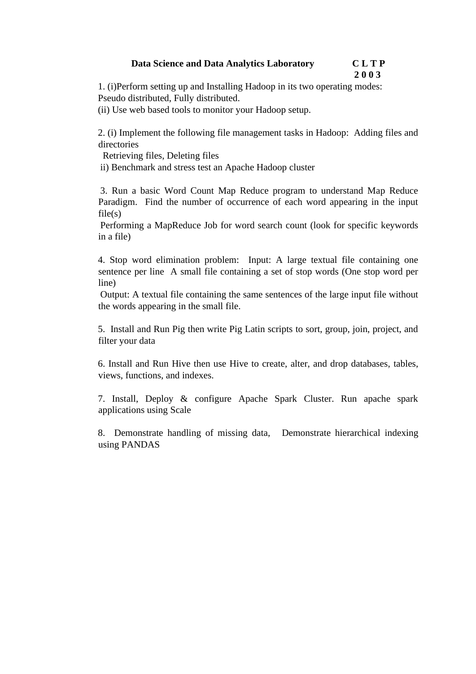#### **Data Science and Data Analytics Laboratory C L T P 2 0 0 3**

1. (i)Perform setting up and Installing Hadoop in its two operating modes: Pseudo distributed, Fully distributed.

(ii) Use web based tools to monitor your Hadoop setup.

2. (i) Implement the following file management tasks in Hadoop: Adding files and directories

Retrieving files, Deleting files

ii) Benchmark and stress test an Apache Hadoop cluster

3. Run a basic Word Count Map Reduce program to understand Map Reduce Paradigm. Find the number of occurrence of each word appearing in the input  $file(s)$ 

Performing a MapReduce Job for word search count (look for specific keywords in a file)

4. Stop word elimination problem: Input: A large textual file containing one sentence per line A small file containing a set of stop words (One stop word per line)

Output: A textual file containing the same sentences of the large input file without the words appearing in the small file.

5. Install and Run Pig then write Pig Latin scripts to sort, group, join, project, and filter your data

6. Install and Run Hive then use Hive to create, alter, and drop databases, tables, views, functions, and indexes.

7. Install, Deploy & configure Apache Spark Cluster. Run apache spark applications using Scale

8. Demonstrate handling of missing data, Demonstrate hierarchical indexing using PANDAS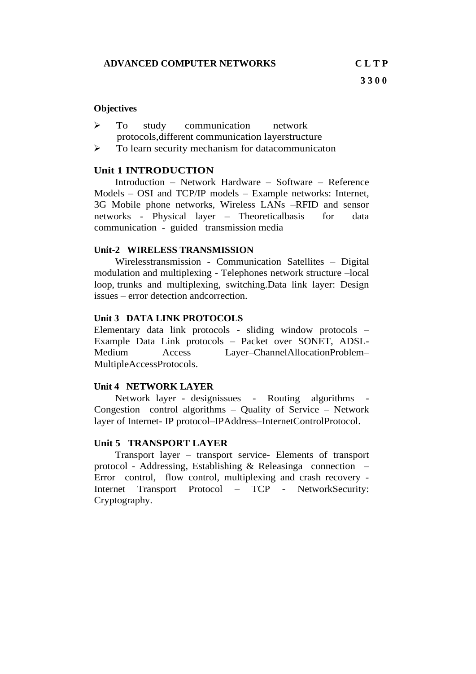#### **Objectives**

- ➢ To study communication network protocols,different communication layerstructure
- ➢ To learn security mechanism for datacommunicaton

#### **Unit 1 INTRODUCTION**

Introduction – Network Hardware – Software – Reference Models – OSI and TCP/IP models – Example networks: Internet, 3G Mobile phone networks, Wireless LANs –RFID and sensor networks - Physical layer – Theoreticalbasis for data communication - guided transmission media

#### **Unit-2 WIRELESS TRANSMISSION**

Wirelesstransmission - Communication Satellites – Digital modulation and multiplexing - Telephones network structure –local loop, trunks and multiplexing, switching.Data link layer: Design issues – error detection andcorrection.

#### **Unit 3 DATA LINK PROTOCOLS**

Elementary data link protocols - sliding window protocols – Example Data Link protocols – Packet over SONET, ADSL-Medium Access Layer–ChannelAllocationProblem– MultipleAccessProtocols.

#### **Unit 4 NETWORK LAYER**

Network layer - designissues - Routing algorithms Congestion control algorithms – Quality of Service – Network layer of Internet- IP protocol–IPAddress–InternetControlProtocol.

#### **Unit 5 TRANSPORT LAYER**

Transport layer – transport service- Elements of transport protocol - Addressing, Establishing & Releasinga connection – Error control, flow control, multiplexing and crash recovery - Internet Transport Protocol – TCP - NetworkSecurity: Cryptography.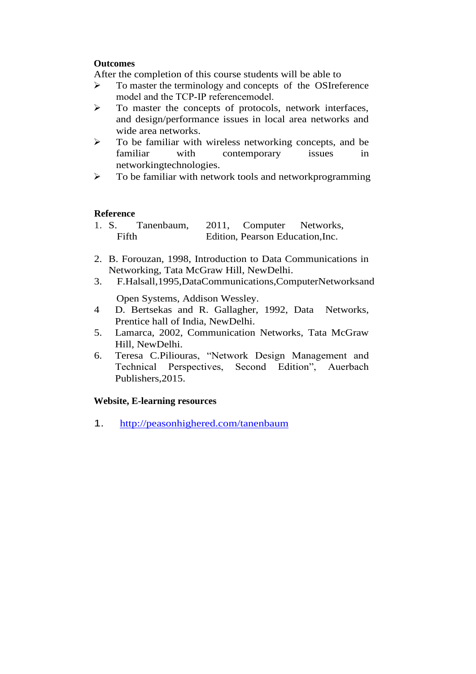#### **Outcomes**

After the completion of this course students will be able to

- ➢ To master the terminology and concepts of the OSIreference model and the TCP‐IP referencemodel.
- ➢ To master the concepts of protocols, network interfaces, and design/performance issues in local area networks and wide area networks.
- ➢ To be familiar with wireless networking concepts, and be familiar with contemporary issues in networkingtechnologies.
- ➢ To be familiar with network tools and networkprogramming

#### **Reference**

| 1. S. | Tanenbaum, | 2011, Computer                   | Networks, |
|-------|------------|----------------------------------|-----------|
| Fifth |            | Edition, Pearson Education, Inc. |           |

- 2. B. Forouzan, 1998, Introduction to Data Communications in Networking, Tata McGraw Hill, NewDelhi.
- 3. F.Halsall,1995,DataCommunications,ComputerNetworksand

Open Systems, Addison Wessley.

- 4 D. Bertsekas and R. Gallagher, 1992, Data Networks, Prentice hall of India, NewDelhi.
- 5. Lamarca, 2002, Communication Networks, Tata McGraw Hill, NewDelhi.
- 6. Teresa C.Piliouras, "Network Design Management and Technical Perspectives, Second Edition", Auerbach Publishers,2015.

#### **Website, E-learning resources**

1. <http://peasonhighered.com/tanenbaum>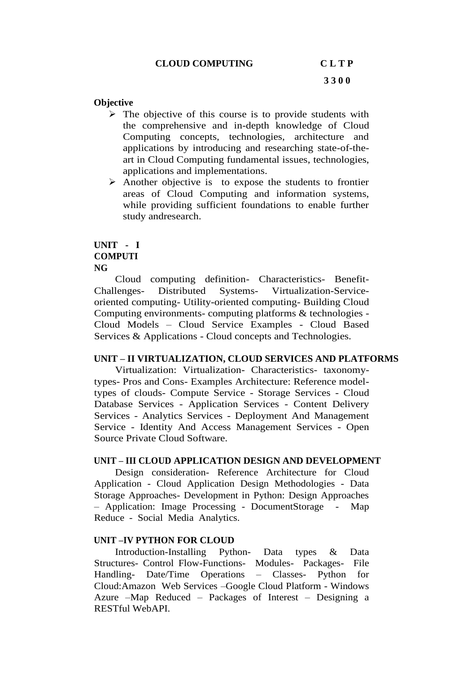#### **CLOUD COMPUTING C L T P**

#### **Objective**

- $\triangleright$  The objective of this course is to provide students with the comprehensive and in-depth knowledge of Cloud Computing concepts, technologies, architecture and applications by introducing and researching state-of-theart in Cloud Computing fundamental issues, technologies, applications and implementations.
- ➢ Another objective is to expose the students to frontier areas of Cloud Computing and information systems, while providing sufficient foundations to enable further study andresearch.

#### **UNIT - I COMPUTI NG**

Cloud computing definition- Characteristics- Benefit-Challenges- Distributed Systems- Virtualization-Serviceoriented computing- Utility-oriented computing- Building Cloud Computing environments- computing platforms & technologies - Cloud Models – Cloud Service Examples - Cloud Based Services & Applications - Cloud concepts and Technologies.

#### **UNIT – II VIRTUALIZATION, CLOUD SERVICES AND PLATFORMS**

Virtualization: Virtualization- Characteristics- taxonomytypes- Pros and Cons- Examples Architecture: Reference modeltypes of clouds- Compute Service - Storage Services - Cloud Database Services - Application Services - Content Delivery Services - Analytics Services - Deployment And Management Service - Identity And Access Management Services - Open Source Private Cloud Software.

#### **UNIT – III CLOUD APPLICATION DESIGN AND DEVELOPMENT**

Design consideration- Reference Architecture for Cloud Application - Cloud Application Design Methodologies - Data Storage Approaches- Development in Python: Design Approaches – Application: Image Processing - DocumentStorage - Map Reduce - Social Media Analytics.

#### **UNIT –IV PYTHON FOR CLOUD**

Introduction-Installing Python- Data types & Data Structures- Control Flow-Functions- Modules- Packages- File Handling- Date/Time Operations – Classes- Python for Cloud:Amazon Web Services –Google Cloud Platform - Windows Azure –Map Reduced – Packages of Interest – Designing a RESTful WebAPI.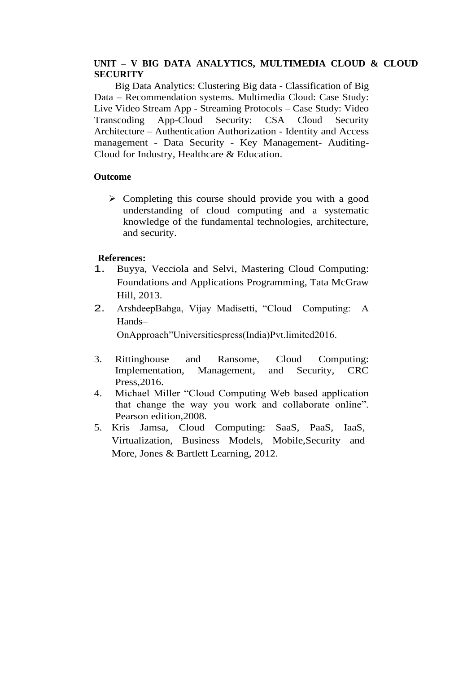#### **UNIT – V BIG DATA ANALYTICS, MULTIMEDIA CLOUD & CLOUD SECURITY**

Big Data Analytics: Clustering Big data - Classification of Big Data – Recommendation systems. Multimedia Cloud: Case Study: Live Video Stream App - Streaming Protocols – Case Study: Video Transcoding App-Cloud Security: CSA Cloud Security Architecture – Authentication Authorization - Identity and Access management - Data Security - Key Management- Auditing-Cloud for Industry, Healthcare & Education.

#### **Outcome**

➢ Completing this course should provide you with a good understanding of cloud computing and a systematic knowledge of the fundamental technologies, architecture, and security.

#### **References:**

- 1. Buyya, Vecciola and Selvi, Mastering Cloud Computing: Foundations and Applications Programming, Tata McGraw Hill, 2013.
- 2. ArshdeepBahga, Vijay Madisetti, "Cloud Computing: A Hands–

OnApproach"Universitiespress(India)Pvt.limited2016.

- 3. Rittinghouse and Ransome, Cloud Computing: Implementation, Management, and Security, CRC Press,2016.
- 4. Michael Miller "Cloud Computing Web based application that change the way you work and collaborate online". Pearson edition,2008.
- 5. Kris Jamsa, Cloud Computing: SaaS, PaaS, IaaS, Virtualization, Business Models, Mobile,Security and More, Jones & Bartlett Learning, 2012.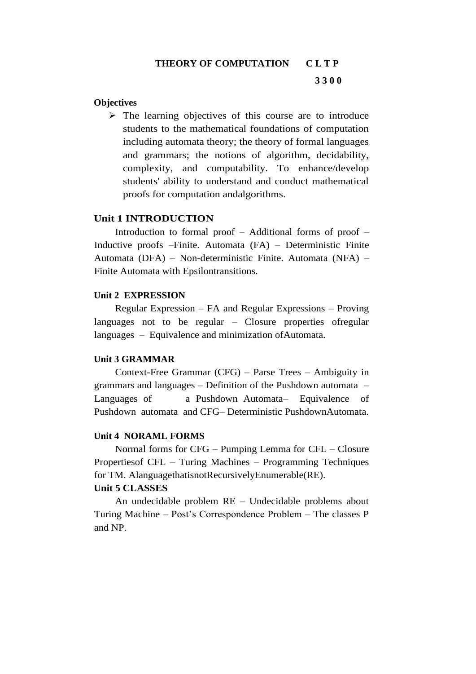# **THEORY OF COMPUTATION C L T P 3 3 0 0**

#### **Objectives**

➢ The learning objectives of this course are to introduce students to the mathematical foundations of computation including automata theory; the theory of formal languages and grammars; the notions of algorithm, decidability, complexity, and computability. To enhance/develop students' ability to understand and conduct mathematical proofs for computation andalgorithms.

#### **Unit 1 INTRODUCTION**

Introduction to formal proof – Additional forms of proof – Inductive proofs –Finite. Automata (FA) – Deterministic Finite Automata (DFA) – Non-deterministic Finite. Automata (NFA) – Finite Automata with Epsilontransitions.

#### **Unit 2 EXPRESSION**

Regular Expression – FA and Regular Expressions – Proving languages not to be regular – Closure properties ofregular languages – Equivalence and minimization ofAutomata.

#### **Unit 3 GRAMMAR**

Context-Free Grammar (CFG) – Parse Trees – Ambiguity in grammars and languages – Definition of the Pushdown automata – Languages of a Pushdown Automata– Equivalence of Pushdown automata and CFG– Deterministic PushdownAutomata.

#### **Unit 4 NORAML FORMS**

Normal forms for CFG – Pumping Lemma for CFL – Closure Propertiesof CFL – Turing Machines – Programming Techniques for TM. AlanguagethatisnotRecursivelyEnumerable(RE).

#### **Unit 5 CLASSES**

An undecidable problem RE – Undecidable problems about Turing Machine – Post's Correspondence Problem – The classes P and NP.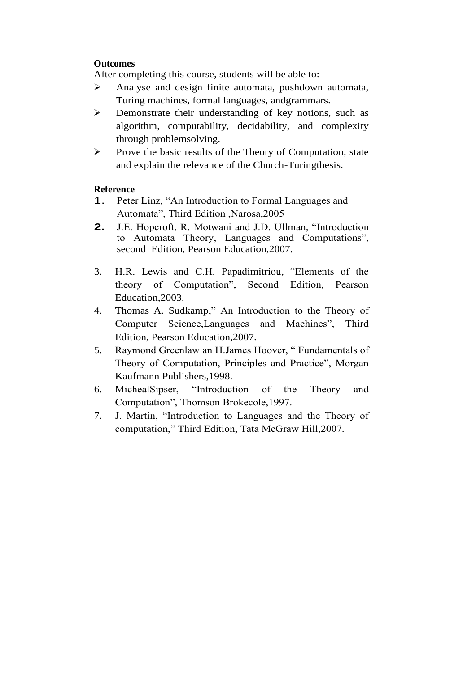#### **Outcomes**

After completing this course, students will be able to:

- ➢ Analyse and design finite automata, pushdown automata, Turing machines, formal languages, andgrammars.
- ➢ Demonstrate their understanding of key notions, such as algorithm, computability, decidability, and complexity through problemsolving.
- ➢ Prove the basic results of the Theory of Computation, state and explain the relevance of the Church-Turingthesis.

#### **Reference**

- 1. Peter Linz, "An Introduction to Formal Languages and Automata", Third Edition ,Narosa,2005
- **2.** J.E. Hopcroft, R. Motwani and J.D. Ullman, "Introduction to Automata Theory, Languages and Computations", second Edition, Pearson Education,2007.
- 3. H.R. Lewis and C.H. Papadimitriou, "Elements of the theory of Computation", Second Edition, Pearson Education,2003.
- 4. Thomas A. Sudkamp," An Introduction to the Theory of Computer Science,Languages and Machines", Third Edition, Pearson Education,2007.
- 5. Raymond Greenlaw an H.James Hoover, " Fundamentals of Theory of Computation, Principles and Practice", Morgan Kaufmann Publishers,1998.
- 6. MichealSipser, "Introduction of the Theory and Computation", Thomson Brokecole,1997.
- 7. J. Martin, "Introduction to Languages and the Theory of computation," Third Edition, Tata McGraw Hill,2007.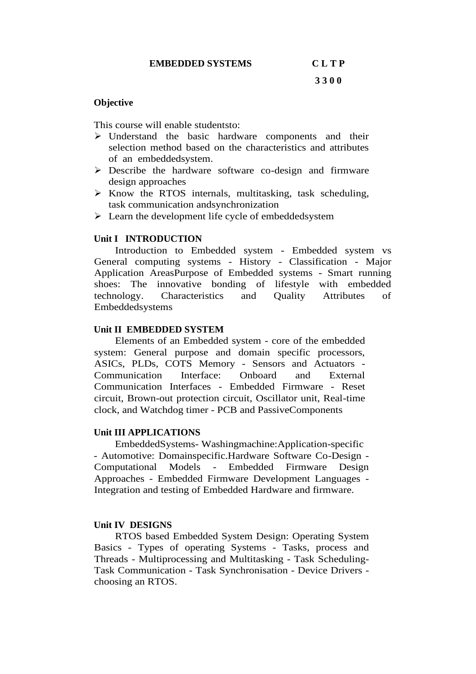#### **Objective**

This course will enable studentsto:

- ➢ Understand the basic hardware components and their selection method based on the characteristics and attributes of an embeddedsystem.
- ➢ Describe the hardware software co-design and firmware design approaches
- ➢ Know the RTOS internals, multitasking, task scheduling, task communication andsynchronization
- ➢ Learn the development life cycle of embeddedsystem

#### **Unit I INTRODUCTION**

Introduction to Embedded system - Embedded system vs General computing systems - History - Classification - Major Application AreasPurpose of Embedded systems - Smart running shoes: The innovative bonding of lifestyle with embedded technology. Characteristics and Quality Attributes of Embeddedsystems

#### **Unit II EMBEDDED SYSTEM**

Elements of an Embedded system - core of the embedded system: General purpose and domain specific processors, ASICs, PLDs, COTS Memory - Sensors and Actuators - Communication Interface: Onboard and External Communication Interfaces - Embedded Firmware - Reset circuit, Brown-out protection circuit, Oscillator unit, Real-time clock, and Watchdog timer - PCB and PassiveComponents

#### **Unit III APPLICATIONS**

 EmbeddedSystems- Washingmachine:Application-specific - Automotive: Domainspecific.Hardware Software Co-Design - Computational Models - Embedded Firmware Design Approaches - Embedded Firmware Development Languages - Integration and testing of Embedded Hardware and firmware.

#### **Unit IV DESIGNS**

RTOS based Embedded System Design: Operating System Basics - Types of operating Systems - Tasks, process and Threads - Multiprocessing and Multitasking - Task Scheduling-Task Communication - Task Synchronisation - Device Drivers choosing an RTOS.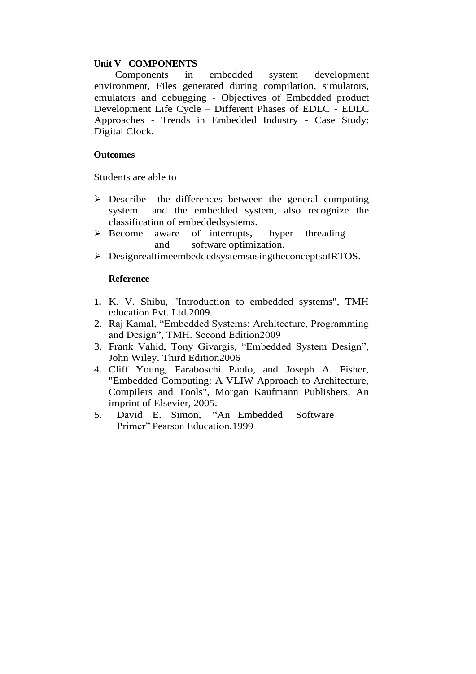#### **Unit V COMPONENTS**

Components in embedded system development environment, Files generated during compilation, simulators, emulators and debugging - Objectives of Embedded product Development Life Cycle – Different Phases of EDLC - EDLC Approaches - Trends in Embedded Industry - Case Study: Digital Clock.

#### **Outcomes**

Students are able to

- $\triangleright$  Describe the differences between the general computing system and the embedded system, also recognize the classification of embeddedsystems.
- ➢ Become aware of interrupts, hyper threading and software optimization.
- ➢ DesignrealtimeembeddedsystemsusingtheconceptsofRTOS.

#### **Reference**

- **1.** K. V. Shibu, "Introduction to embedded systems", TMH education Pvt. Ltd.2009.
- 2. Raj Kamal, "Embedded Systems: Architecture, Programming and Design", TMH. Second Edition2009
- 3. Frank Vahid, Tony Givargis, "Embedded System Design", John Wiley. Third Edition2006
- 4. Cliff Young, Faraboschi Paolo, and Joseph A. Fisher, "Embedded Computing: A VLIW Approach to Architecture, Compilers and Tools", Morgan Kaufmann Publishers, An imprint of Elsevier, 2005.
- 5. David E. Simon, "An Embedded Software Primer" Pearson Education,1999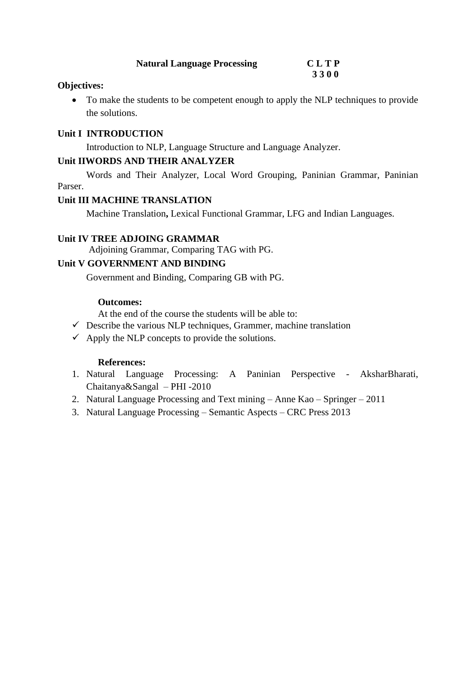| <b>Natural Language Processing</b> | <b>CLTP</b> |
|------------------------------------|-------------|
|                                    | 3300        |

#### **Objectives:**

• To make the students to be competent enough to apply the NLP techniques to provide the solutions.

#### **Unit I INTRODUCTION**

Introduction to NLP, Language Structure and Language Analyzer.

#### **Unit IIWORDS AND THEIR ANALYZER**

Words and Their Analyzer, Local Word Grouping, Paninian Grammar, Paninian Parser.

#### **Unit III MACHINE TRANSLATION**

Machine Translation**,** Lexical Functional Grammar, LFG and Indian Languages.

#### **Unit IV TREE ADJOING GRAMMAR**

Adjoining Grammar, Comparing TAG with PG.

# **Unit V GOVERNMENT AND BINDING**

Government and Binding, Comparing GB with PG.

#### **Outcomes:**

At the end of the course the students will be able to:

- $\checkmark$  Describe the various NLP techniques, Grammer, machine translation
- $\checkmark$  Apply the NLP concepts to provide the solutions.

#### **References:**

- 1. Natural Language Processing: A Paninian Perspective AksharBharati, Chaitanya&Sangal – PHI -2010
- 2. Natural Language Processing and Text mining Anne Kao Springer 2011
- 3. Natural Language Processing Semantic Aspects CRC Press 2013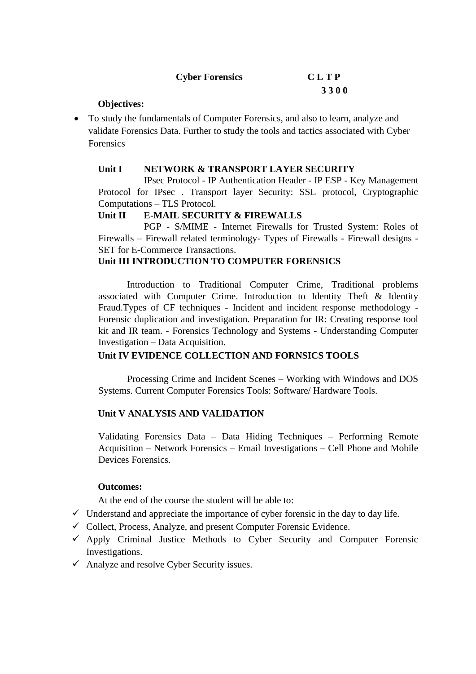| <b>Cyber Forensics</b> | <b>CLTP</b> |
|------------------------|-------------|
|                        | 3300        |

#### **Objectives:**

• To study the fundamentals of Computer Forensics, and also to learn, analyze and validate Forensics Data. Further to study the tools and tactics associated with Cyber Forensics

#### **Unit I NETWORK & TRANSPORT LAYER SECURITY**

IPsec Protocol - IP Authentication Header - IP ESP - Key Management Protocol for IPsec . Transport layer Security: SSL protocol, Cryptographic Computations – TLS Protocol.

#### **Unit II E-MAIL SECURITY & FIREWALLS**

PGP - S/MIME - Internet Firewalls for Trusted System: Roles of Firewalls – Firewall related terminology- Types of Firewalls - Firewall designs - SET for E-Commerce Transactions.

#### **Unit III INTRODUCTION TO COMPUTER FORENSICS**

Introduction to Traditional Computer Crime, Traditional problems associated with Computer Crime. Introduction to Identity Theft & Identity Fraud.Types of CF techniques - Incident and incident response methodology - Forensic duplication and investigation. Preparation for IR: Creating response tool kit and IR team. - Forensics Technology and Systems - Understanding Computer Investigation – Data Acquisition.

#### **Unit IV EVIDENCE COLLECTION AND FORNSICS TOOLS**

Processing Crime and Incident Scenes – Working with Windows and DOS Systems. Current Computer Forensics Tools: Software/ Hardware Tools.

#### **Unit V ANALYSIS AND VALIDATION**

Validating Forensics Data – Data Hiding Techniques – Performing Remote Acquisition – Network Forensics – Email Investigations – Cell Phone and Mobile Devices Forensics.

#### **Outcomes:**

At the end of the course the student will be able to:

- $\checkmark$  Understand and appreciate the importance of cyber forensic in the day to day life.
- $\checkmark$  Collect, Process, Analyze, and present Computer Forensic Evidence.
- $\checkmark$  Apply Criminal Justice Methods to Cyber Security and Computer Forensic Investigations.
- $\checkmark$  Analyze and resolve Cyber Security issues.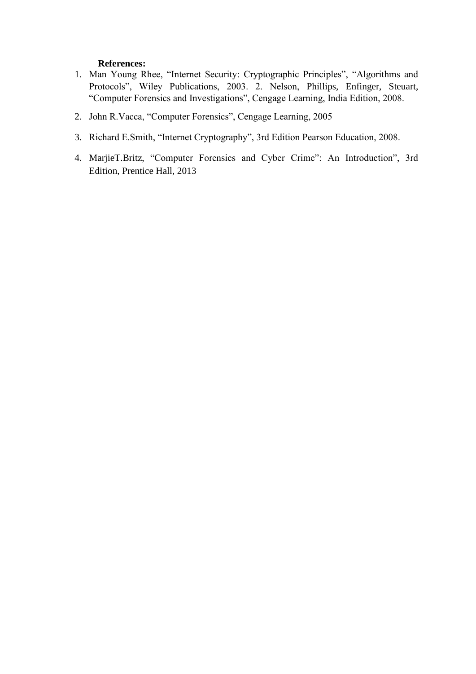#### **References:**

- 1. Man Young Rhee, "Internet Security: Cryptographic Principles", "Algorithms and Protocols", Wiley Publications, 2003. 2. Nelson, Phillips, Enfinger, Steuart, "Computer Forensics and Investigations", Cengage Learning, India Edition, 2008.
- 2. John R.Vacca, "Computer Forensics", Cengage Learning, 2005
- 3. Richard E.Smith, "Internet Cryptography", 3rd Edition Pearson Education, 2008.
- 4. MarjieT.Britz, "Computer Forensics and Cyber Crime": An Introduction", 3rd Edition, Prentice Hall, 2013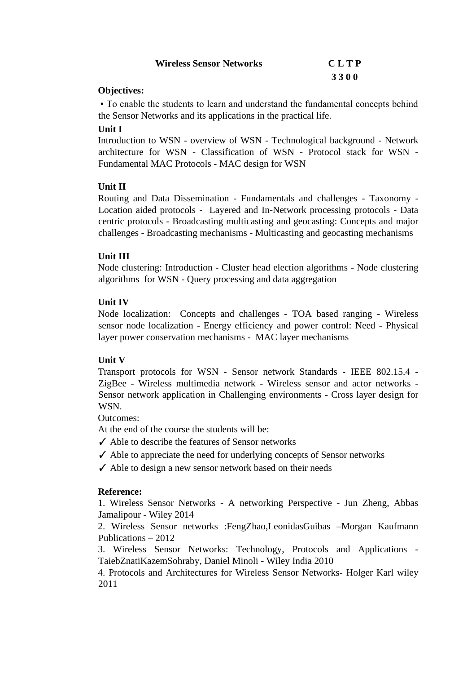| <b>Wireless Sensor Networks</b> | <b>CLTP</b> |
|---------------------------------|-------------|
|                                 | 3300        |

#### **Objectives:**

• To enable the students to learn and understand the fundamental concepts behind the Sensor Networks and its applications in the practical life.

#### **Unit I**

Introduction to WSN - overview of WSN - Technological background - Network architecture for WSN - Classification of WSN - Protocol stack for WSN - Fundamental MAC Protocols - MAC design for WSN

### **Unit II**

Routing and Data Dissemination - Fundamentals and challenges - Taxonomy - Location aided protocols - Layered and In-Network processing protocols - Data centric protocols - Broadcasting multicasting and geocasting: Concepts and major challenges - Broadcasting mechanisms - Multicasting and geocasting mechanisms

#### **Unit III**

Node clustering: Introduction - Cluster head election algorithms - Node clustering algorithms for WSN - Query processing and data aggregation

### **Unit IV**

Node localization: Concepts and challenges - TOA based ranging - Wireless sensor node localization - Energy efficiency and power control: Need - Physical layer power conservation mechanisms - MAC layer mechanisms

### **Unit V**

Transport protocols for WSN - Sensor network Standards - IEEE 802.15.4 - ZigBee - Wireless multimedia network - Wireless sensor and actor networks - Sensor network application in Challenging environments - Cross layer design for WSN.

Outcomes:

At the end of the course the students will be:

- ✓ Able to describe the features of Sensor networks
- $\checkmark$  Able to appreciate the need for underlying concepts of Sensor networks
- ✓ Able to design a new sensor network based on their needs

### **Reference:**

1. Wireless Sensor Networks - A networking Perspective - Jun Zheng, Abbas Jamalipour - Wiley 2014

2. Wireless Sensor networks :FengZhao,LeonidasGuibas –Morgan Kaufmann Publications – 2012

3. Wireless Sensor Networks: Technology, Protocols and Applications - TaiebZnatiKazemSohraby, Daniel Minoli - Wiley India 2010

4. [Protocols and Architectures for Wireless Sensor Networks-](https://www.amazon.in/gp/product/8126533692/ref=ox_sc_act_title_2?smid=A3HXN5JXLRTHMV&psc=1) Holger Karl wiley 2011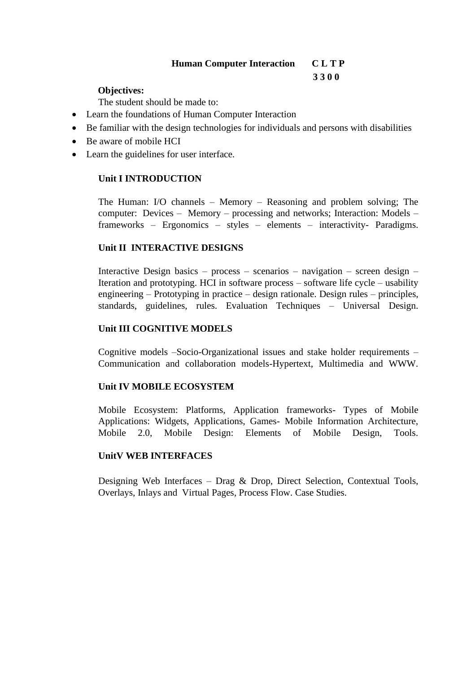# **Human Computer Interaction C L T P**

### **3 3 0 0**

# **Objectives:**

The student should be made to:

- Learn the foundations of Human Computer Interaction
- Be familiar with the design technologies for individuals and persons with disabilities
- Be aware of mobile HCI
- Learn the guidelines for user interface.

# **Unit I INTRODUCTION**

The Human: I/O channels – Memory – Reasoning and problem solving; The computer: Devices – Memory – processing and networks; Interaction: Models – frameworks – Ergonomics – styles – elements – interactivity- Paradigms.

# **Unit II INTERACTIVE DESIGNS**

Interactive Design basics – process – scenarios – navigation – screen design – Iteration and prototyping. HCI in software process – software life cycle – usability engineering – Prototyping in practice – design rationale. Design rules – principles, standards, guidelines, rules. Evaluation Techniques – Universal Design.

### **Unit III COGNITIVE MODELS**

Cognitive models –Socio-Organizational issues and stake holder requirements – Communication and collaboration models-Hypertext, Multimedia and WWW.

### **Unit IV MOBILE ECOSYSTEM**

Mobile Ecosystem: Platforms, Application frameworks- Types of Mobile Applications: Widgets, Applications, Games- Mobile Information Architecture, Mobile 2.0, Mobile Design: Elements of Mobile Design, Tools.

### **UnitV WEB INTERFACES**

Designing Web Interfaces – Drag & Drop, Direct Selection, Contextual Tools, Overlays, Inlays and Virtual Pages, Process Flow. Case Studies.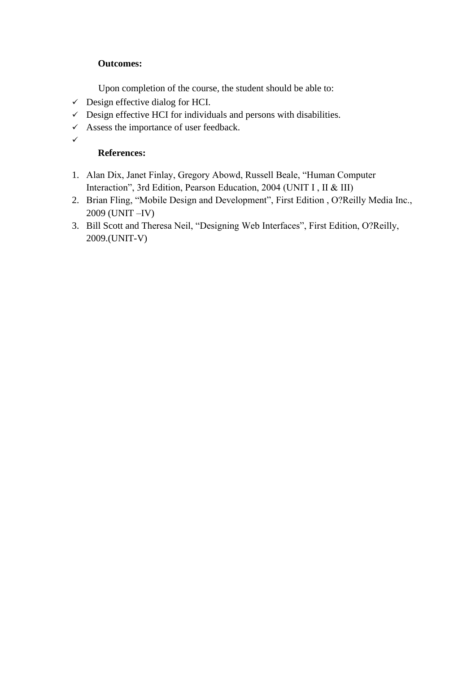# **Outcomes:**

Upon completion of the course, the student should be able to:

- $\checkmark$  Design effective dialog for HCI.
- $\checkmark$  Design effective HCI for individuals and persons with disabilities.
- $\checkmark$  Assess the importance of user feedback.
- ✓

# **References:**

- 1. Alan Dix, Janet Finlay, Gregory Abowd, Russell Beale, "Human Computer Interaction", 3rd Edition, Pearson Education, 2004 (UNIT I , II & III)
- 2. Brian Fling, "Mobile Design and Development", First Edition , O?Reilly Media Inc., 2009 (UNIT –IV)
- 3. Bill Scott and Theresa Neil, "Designing Web Interfaces", First Edition, O?Reilly, 2009.(UNIT-V)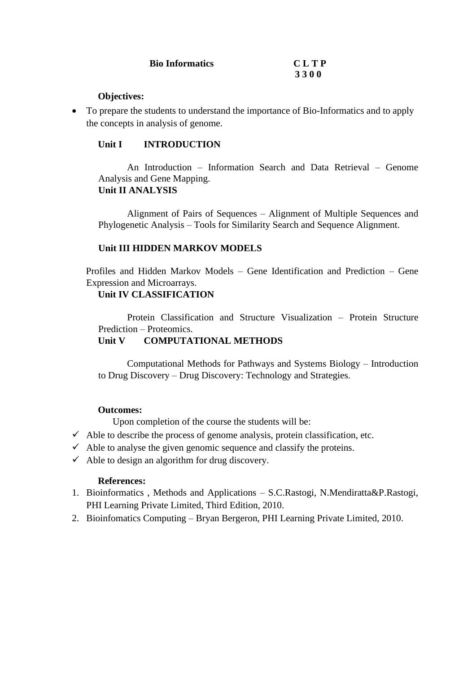| <b>Bio Informatics</b> | <b>CLTP</b> |
|------------------------|-------------|
|                        | 3300        |

#### **Objectives:**

• To prepare the students to understand the importance of Bio-Informatics and to apply the concepts in analysis of genome.

#### **Unit I INTRODUCTION**

An Introduction – Information Search and Data Retrieval – Genome Analysis and Gene Mapping. **Unit II ANALYSIS**

Alignment of Pairs of Sequences – Alignment of Multiple Sequences and Phylogenetic Analysis – Tools for Similarity Search and Sequence Alignment.

#### **Unit III HIDDEN MARKOV MODELS**

Profiles and Hidden Markov Models – Gene Identification and Prediction – Gene Expression and Microarrays.

#### **Unit IV CLASSIFICATION**

Protein Classification and Structure Visualization – Protein Structure Prediction – Proteomics.

#### **Unit V COMPUTATIONAL METHODS**

Computational Methods for Pathways and Systems Biology – Introduction to Drug Discovery – Drug Discovery: Technology and Strategies.

#### **Outcomes:**

Upon completion of the course the students will be:

- $\checkmark$  Able to describe the process of genome analysis, protein classification, etc.
- $\checkmark$  Able to analyse the given genomic sequence and classify the proteins.
- $\checkmark$  Able to design an algorithm for drug discovery.

#### **References:**

- 1. Bioinformatics , Methods and Applications S.C.Rastogi, N.Mendiratta&P.Rastogi, PHI Learning Private Limited, Third Edition, 2010.
- 2. Bioinfomatics Computing Bryan Bergeron, PHI Learning Private Limited, 2010.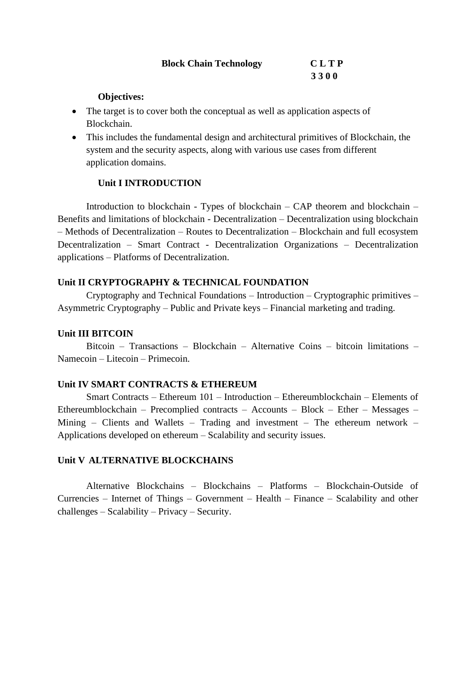| <b>Block Chain Technology</b> | <b>CLTP</b> |
|-------------------------------|-------------|
|                               | 3300        |

#### **Objectives:**

- The target is to cover both the conceptual as well as application aspects of Blockchain.
- This includes the fundamental design and architectural primitives of Blockchain, the system and the security aspects, along with various use cases from different application domains.

#### **Unit I INTRODUCTION**

Introduction to blockchain - Types of blockchain – CAP theorem and blockchain – Benefits and limitations of blockchain - Decentralization – Decentralization using blockchain – Methods of Decentralization – Routes to Decentralization – Blockchain and full ecosystem Decentralization – Smart Contract - Decentralization Organizations – Decentralization applications – Platforms of Decentralization.

#### **Unit II CRYPTOGRAPHY & TECHNICAL FOUNDATION**

Cryptography and Technical Foundations – Introduction – Cryptographic primitives – Asymmetric Cryptography – Public and Private keys – Financial marketing and trading.

#### **Unit III BITCOIN**

Bitcoin – Transactions – Blockchain – Alternative Coins – bitcoin limitations – Namecoin – Litecoin – Primecoin.

#### **Unit IV SMART CONTRACTS & ETHEREUM**

Smart Contracts – Ethereum 101 – Introduction – Ethereumblockchain – Elements of Ethereumblockchain – Precomplied contracts – Accounts – Block – Ether – Messages – Mining – Clients and Wallets – Trading and investment – The ethereum network – Applications developed on ethereum – Scalability and security issues.

#### **Unit V ALTERNATIVE BLOCKCHAINS**

Alternative Blockchains – Blockchains – Platforms – Blockchain-Outside of Currencies – Internet of Things – Government – Health – Finance – Scalability and other challenges – Scalability – Privacy – Security.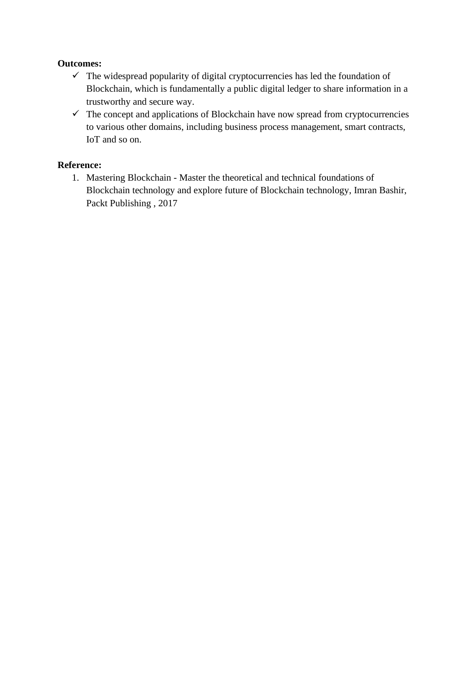### **Outcomes:**

- $\checkmark$  The widespread popularity of digital cryptocurrencies has led the foundation of Blockchain, which is fundamentally a public digital ledger to share information in a trustworthy and secure way.
- $\checkmark$  The concept and applications of Blockchain have now spread from cryptocurrencies to various other domains, including business process management, smart contracts, IoT and so on.

# **Reference:**

1. Mastering Blockchain - Master the theoretical and technical foundations of Blockchain technology and explore future of Blockchain technology, Imran Bashir, Packt Publishing , 2017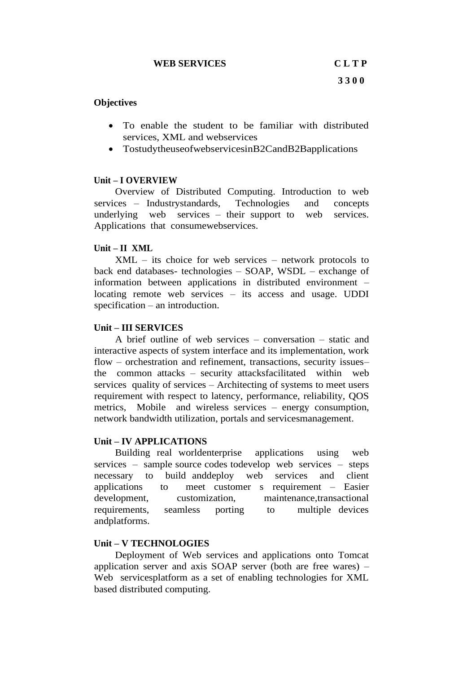#### **Objectives**

- To enable the student to be familiar with distributed services, XML and webservices
- TostudytheuseofwebservicesinB2CandB2Bapplications

#### **Unit – I OVERVIEW**

Overview of Distributed Computing. Introduction to web services – Industrystandards, Technologies and concepts underlying web services – their support to web services. Applications that consumewebservices.

#### **Unit – II XML**

XML – its choice for web services – network protocols to back end databases- technologies – SOAP, WSDL – exchange of information between applications in distributed environment – locating remote web services – its access and usage. UDDI specification – an introduction.

#### **Unit – III SERVICES**

A brief outline of web services – conversation – static and interactive aspects of system interface and its implementation, work flow – orchestration and refinement, transactions, security issues– the common attacks – security attacksfacilitated within web services quality of services – Architecting of systems to meet users requirement with respect to latency, performance, reliability, QOS metrics, Mobile and wireless services – energy consumption, network bandwidth utilization, portals and servicesmanagement.

#### **Unit – IV APPLICATIONS**

Building real worldenterprise applications using web services – sample source codes todevelop web services – steps necessary to build anddeploy web services and client applications to meet customer s requirement – Easier development, customization, maintenance,transactional requirements, seamless porting to multiple devices andplatforms.

#### **Unit – V TECHNOLOGIES**

Deployment of Web services and applications onto Tomcat application server and axis SOAP server (both are free wares) – Web servicesplatform as a set of enabling technologies for XML based distributed computing.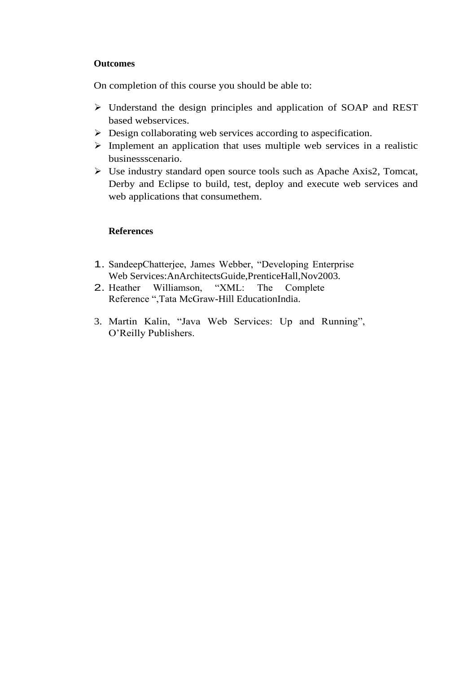#### **Outcomes**

On completion of this course you should be able to:

- ➢ Understand the design principles and application of SOAP and REST based webservices.
- ➢ Design collaborating web services according to aspecification.
- $\triangleright$  Implement an application that uses multiple web services in a realistic businessscenario.
- ➢ Use industry standard open source tools such as Apache Axis2, Tomcat, Derby and Eclipse to build, test, deploy and execute web services and web applications that consumethem.

### **References**

- 1. SandeepChatterjee, James Webber, "Developing Enterprise Web Services:AnArchitectsGuide,PrenticeHall,Nov2003.
- 2. Heather Williamson, "XML: The Complete Reference ",Tata McGraw-Hill EducationIndia.
- 3. Martin Kalin, "Java Web Services: Up and Running", O'Reilly Publishers.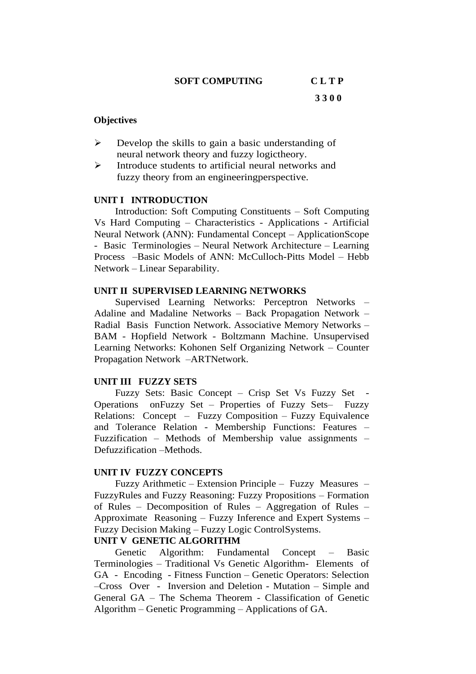#### **SOFT COMPUTING C L T P**

**3 3 0 0** 

#### **Objectives**

- $\triangleright$  Develop the skills to gain a basic understanding of neural network theory and fuzzy logictheory.
- ➢ Introduce students to artificial neural networks and fuzzy theory from an engineeringperspective.

#### **UNIT I INTRODUCTION**

Introduction: Soft Computing Constituents – Soft Computing Vs Hard Computing – Characteristics - Applications - Artificial Neural Network (ANN): Fundamental Concept – ApplicationScope - Basic Terminologies – Neural Network Architecture – Learning Process –Basic Models of ANN: McCulloch-Pitts Model – Hebb Network – Linear Separability.

#### **UNIT II SUPERVISED LEARNING NETWORKS**

Supervised Learning Networks: Perceptron Networks – Adaline and Madaline Networks – Back Propagation Network – Radial Basis Function Network. Associative Memory Networks – BAM - Hopfield Network - Boltzmann Machine. Unsupervised Learning Networks: Kohonen Self Organizing Network – Counter Propagation Network –ARTNetwork.

#### **UNIT III FUZZY SETS**

Fuzzy Sets: Basic Concept – Crisp Set Vs Fuzzy Set Operations onFuzzy Set – Properties of Fuzzy Sets– Fuzzy Relations: Concept – Fuzzy Composition – Fuzzy Equivalence and Tolerance Relation - Membership Functions: Features – Fuzzification – Methods of Membership value assignments – Defuzzification –Methods.

#### **UNIT IV FUZZY CONCEPTS**

Fuzzy Arithmetic – Extension Principle – Fuzzy Measures – FuzzyRules and Fuzzy Reasoning: Fuzzy Propositions – Formation of Rules – Decomposition of Rules – Aggregation of Rules – Approximate Reasoning – Fuzzy Inference and Expert Systems – Fuzzy Decision Making – Fuzzy Logic ControlSystems.

#### **UNIT V GENETIC ALGORITHM**

Genetic Algorithm: Fundamental Concept – Basic Terminologies – Traditional Vs Genetic Algorithm- Elements of GA - Encoding - Fitness Function – Genetic Operators: Selection –Cross Over - Inversion and Deletion - Mutation – Simple and General GA – The Schema Theorem - Classification of Genetic Algorithm – Genetic Programming – Applications of GA.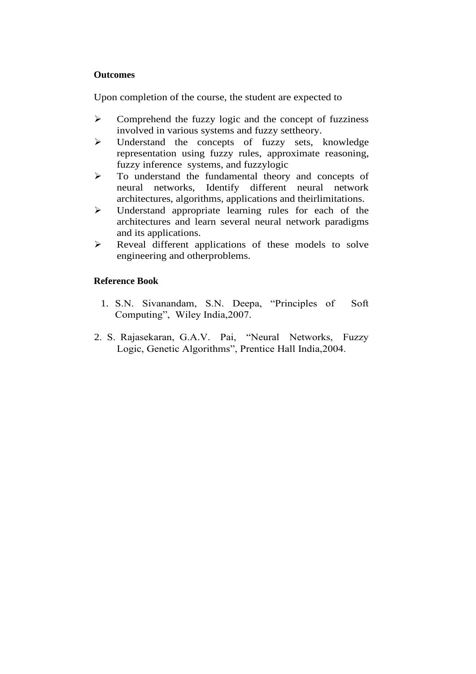#### **Outcomes**

Upon completion of the course, the student are expected to

- ➢ Comprehend the fuzzy logic and the concept of fuzziness involved in various systems and fuzzy settheory.
- ➢ Understand the concepts of fuzzy sets, knowledge representation using fuzzy rules, approximate reasoning, fuzzy inference systems, and fuzzylogic
- ➢ To understand the fundamental theory and concepts of neural networks, Identify different neural network architectures, algorithms, applications and theirlimitations.
- ➢ Understand appropriate learning rules for each of the architectures and learn several neural network paradigms and its applications.
- ➢ Reveal different applications of these models to solve engineering and otherproblems.

#### **Reference Book**

- 1. S.N. Sivanandam, S.N. Deepa, "Principles of Soft Computing", Wiley India,2007.
- 2. S. Rajasekaran, G.A.V. Pai, "Neural Networks, Fuzzy Logic, Genetic Algorithms", Prentice Hall India,2004.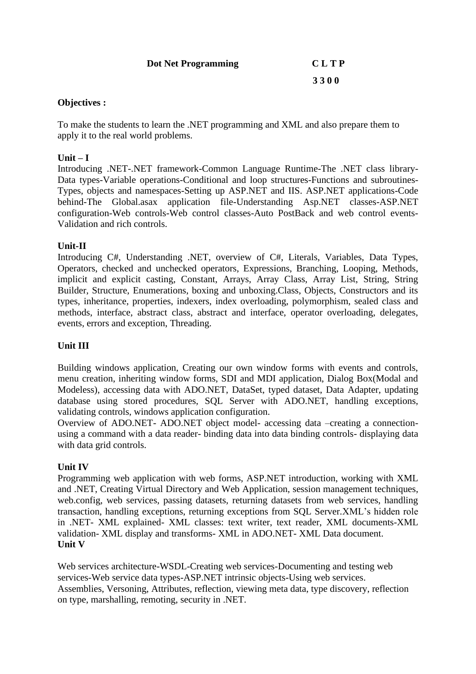| <b>Dot Net Programming</b> | <b>CLTP</b> |
|----------------------------|-------------|
|                            | 3300        |

#### **Objectives :**

To make the students to learn the .NET programming and XML and also prepare them to apply it to the real world problems.

#### **Unit – I**

Introducing .NET-.NET framework-Common Language Runtime-The .NET class library-Data types-Variable operations-Conditional and loop structures-Functions and subroutines-Types, objects and namespaces-Setting up ASP.NET and IIS. ASP.NET applications-Code behind-The Global.asax application file-Understanding Asp.NET classes-ASP.NET configuration-Web controls-Web control classes-Auto PostBack and web control events-Validation and rich controls.

#### **Unit-II**

Introducing C#, Understanding .NET, overview of C#, Literals, Variables, Data Types, Operators, checked and unchecked operators, Expressions, Branching, Looping, Methods, implicit and explicit casting, Constant, Arrays, Array Class, Array List, String, String Builder, Structure, Enumerations, boxing and unboxing.Class, Objects, Constructors and its types, inheritance, properties, indexers, index overloading, polymorphism, sealed class and methods, interface, abstract class, abstract and interface, operator overloading, delegates, events, errors and exception, Threading.

### **Unit III**

Building windows application, Creating our own window forms with events and controls, menu creation, inheriting window forms, SDI and MDI application, Dialog Box(Modal and Modeless), accessing data with ADO.NET, DataSet, typed dataset, Data Adapter, updating database using stored procedures, SQL Server with ADO.NET, handling exceptions, validating controls, windows application configuration.

Overview of ADO.NET- ADO.NET object model- accessing data –creating a connectionusing a command with a data reader- binding data into data binding controls- displaying data with data grid controls.

#### **Unit IV**

Programming web application with web forms, ASP.NET introduction, working with XML and .NET, Creating Virtual Directory and Web Application, session management techniques, web.config, web services, passing datasets, returning datasets from web services, handling transaction, handling exceptions, returning exceptions from SQL Server.XML's hidden role in .NET- XML explained- XML classes: text writer, text reader, XML documents-XML validation- XML display and transforms- XML in ADO.NET- XML Data document. **Unit V** 

Web services architecture-WSDL-Creating web services-Documenting and testing web services-Web service data types-ASP.NET intrinsic objects-Using web services. Assemblies, Versoning, Attributes, reflection, viewing meta data, type discovery, reflection on type, marshalling, remoting, security in .NET.